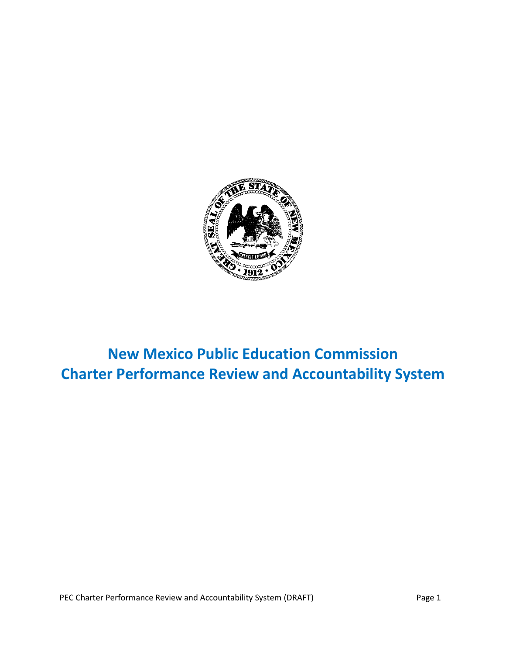

# **New Mexico Public Education Commission Charter Performance Review and Accountability System**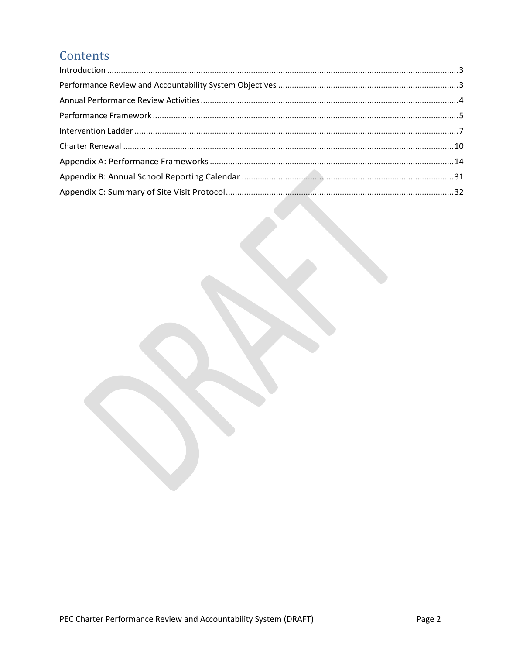# Contents

| $\label{eq:1} \mbox{Introduction} \,\, \ldots \,\, \ldots \,\, \ldots \,\, \ldots \,\, \ldots \,\, \ldots \,\, \ldots \,\, \ldots \,\, \ldots \,\, \ldots \,\, \ldots \,\, \ldots \,\, \ldots \,\, \ldots \,\, \ldots \,\, \ldots \,\, \ldots \,\, \ldots \,\, \ldots \,\, \ldots \,\, \ldots \,\, \ldots \,\, \ldots \,\, \ldots \,\, \ldots \,\, \ldots \,\, \ldots \,\, \ldots \,\, \ldots \,\, \ldots \,\, \ldots \,\, \ldots \,\, \ldots \,\, \ldots \,\,$ |  |
|-----------------------------------------------------------------------------------------------------------------------------------------------------------------------------------------------------------------------------------------------------------------------------------------------------------------------------------------------------------------------------------------------------------------------------------------------------------------|--|
|                                                                                                                                                                                                                                                                                                                                                                                                                                                                 |  |
|                                                                                                                                                                                                                                                                                                                                                                                                                                                                 |  |
|                                                                                                                                                                                                                                                                                                                                                                                                                                                                 |  |
|                                                                                                                                                                                                                                                                                                                                                                                                                                                                 |  |
|                                                                                                                                                                                                                                                                                                                                                                                                                                                                 |  |
|                                                                                                                                                                                                                                                                                                                                                                                                                                                                 |  |
|                                                                                                                                                                                                                                                                                                                                                                                                                                                                 |  |
|                                                                                                                                                                                                                                                                                                                                                                                                                                                                 |  |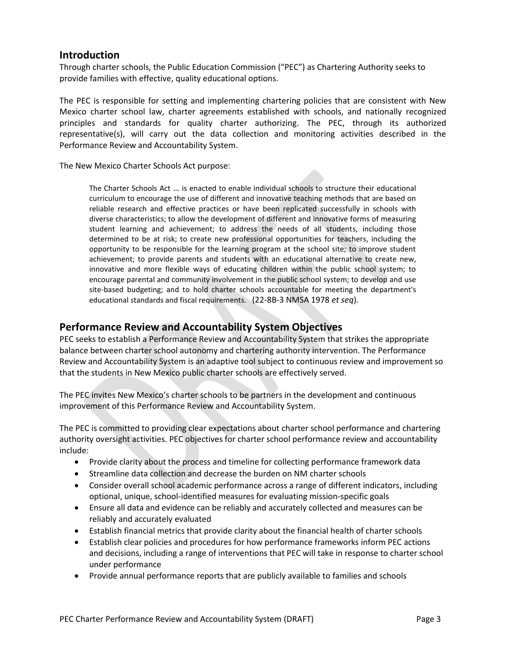## <span id="page-2-0"></span>**Introduction**

Through charter schools, the Public Education Commission ("PEC") as Chartering Authority seeks to provide families with effective, quality educational options.

The PEC is responsible for setting and implementing chartering policies that are consistent with New Mexico charter school law, charter agreements established with schools, and nationally recognized principles and standards for quality charter authorizing. The PEC, through its authorized representative(s), will carry out the data collection and monitoring activities described in the Performance Review and Accountability System.

The New Mexico Charter Schools Act purpose:

The Charter Schools Act … is enacted to enable individual schools to structure their educational curriculum to encourage the use of different and innovative teaching methods that are based on reliable research and effective practices or have been replicated successfully in schools with diverse characteristics; to allow the development of different and innovative forms of measuring student learning and achievement; to address the needs of all students, including those determined to be at risk; to create new professional opportunities for teachers, including the opportunity to be responsible for the learning program at the school site; to improve student achievement; to provide parents and students with an educational alternative to create new, innovative and more flexible ways of educating children within the public school system; to encourage parental and community involvement in the public school system; to develop and use site-based budgeting; and to hold charter schools accountable for meeting the department's educational standards and fiscal requirements. (22-8B-3 NMSA 1978 *et seq*).

## <span id="page-2-1"></span>**Performance Review and Accountability System Objectives**

PEC seeks to establish a Performance Review and Accountability System that strikes the appropriate balance between charter school autonomy and chartering authority intervention. The Performance Review and Accountability System is an adaptive tool subject to continuous review and improvement so that the students in New Mexico public charter schools are effectively served.

The PEC invites New Mexico's charter schools to be partners in the development and continuous improvement of this Performance Review and Accountability System.

The PEC is committed to providing clear expectations about charter school performance and chartering authority oversight activities. PEC objectives for charter school performance review and accountability include:

- Provide clarity about the process and timeline for collecting performance framework data
- Streamline data collection and decrease the burden on NM charter schools
- Consider overall school academic performance across a range of different indicators, including optional, unique, school-identified measures for evaluating mission-specific goals
- Ensure all data and evidence can be reliably and accurately collected and measures can be reliably and accurately evaluated
- Establish financial metrics that provide clarity about the financial health of charter schools
- Establish clear policies and procedures for how performance frameworks inform PEC actions and decisions, including a range of interventions that PEC will take in response to charter school under performance
- Provide annual performance reports that are publicly available to families and schools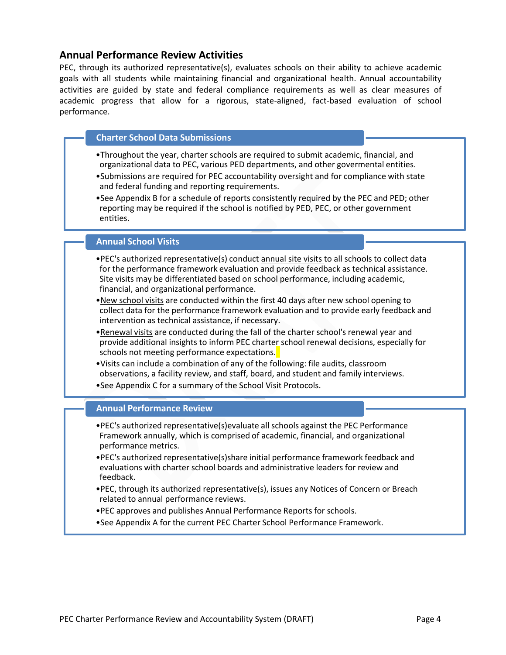### <span id="page-3-0"></span>**Annual Performance Review Activities**

PEC, through its authorized representative(s), evaluates schools on their ability to achieve academic goals with all students while maintaining financial and organizational health. Annual accountability activities are guided by state and federal compliance requirements as well as clear measures of academic progress that allow for a rigorous, state-aligned, fact-based evaluation of school performance.

#### **Charter School Data Submissions**

- •Throughout the year, charter schools are required to submit academic, financial, and organizational data to PEC, various PED departments, and other govermental entities.
- •Submissions are required for PEC accountability oversight and for compliance with state and federal funding and reporting requirements.
- •See Appendix B for a schedule of reports consistently required by the PEC and PED; other reporting may be required if the school is notified by PED, PEC, or other government entities.

#### **Annual School Visits**

- •PEC's authorized representative(s) conduct annual site visits to all schools to collect data for the performance framework evaluation and provide feedback as technical assistance. Site visits may be differentiated based on school performance, including academic, financial, and organizational performance.
- •New school visits are conducted within the first 40 days after new school opening to collect data for the performance framework evaluation and to provide early feedback and intervention as technical assistance, if necessary.
- •Renewal visits are conducted during the fall of the charter school's renewal year and provide additional insights to inform PEC charter school renewal decisions, especially for schools not meeting performance expectations.
- •Visits can include a combination of any of the following: file audits, classroom observations, a facility review, and staff, board, and student and family interviews.
- •See Appendix C for a summary of the School Visit Protocols.

#### **Annual Performance Review**

- •PEC's authorized representative(s)evaluate all schools against the PEC Performance Framework annually, which is comprised of academic, financial, and organizational performance metrics.
- •PEC's authorized representative(s)share initial performance framework feedback and evaluations with charter school boards and administrative leaders for review and feedback.
- •PEC, through its authorized representative(s), issues any Notices of Concern or Breach related to annual performance reviews.
- •PEC approves and publishes Annual Performance Reports for schools.
- •See Appendix A for the current PEC Charter School Performance Framework.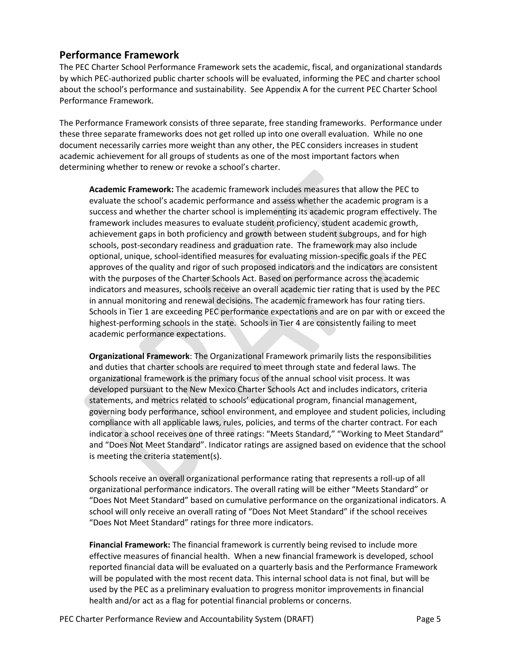## <span id="page-4-0"></span>**Performance Framework**

The PEC Charter School Performance Framework sets the academic, fiscal, and organizational standards by which PEC-authorized public charter schools will be evaluated, informing the PEC and charter school about the school's performance and sustainability. See Appendix A for the current PEC Charter School Performance Framework.

The Performance Framework consists of three separate, free standing frameworks. Performance under these three separate frameworks does not get rolled up into one overall evaluation. While no one document necessarily carries more weight than any other, the PEC considers increases in student academic achievement for all groups of students as one of the most important factors when determining whether to renew or revoke a school's charter.

**Academic Framework:** The academic framework includes measures that allow the PEC to evaluate the school's academic performance and assess whether the academic program is a success and whether the charter school is implementing its academic program effectively. The framework includes measures to evaluate student proficiency, student academic growth, achievement gaps in both proficiency and growth between student subgroups, and for high schools, post-secondary readiness and graduation rate. The framework may also include optional, unique, school-identified measures for evaluating mission-specific goals if the PEC approves of the quality and rigor of such proposed indicators and the indicators are consistent with the purposes of the Charter Schools Act. Based on performance across the academic indicators and measures, schools receive an overall academic tier rating that is used by the PEC in annual monitoring and renewal decisions. The academic framework has four rating tiers. Schools in Tier 1 are exceeding PEC performance expectations and are on par with or exceed the highest-performing schools in the state. Schools in Tier 4 are consistently failing to meet academic performance expectations.

**Organizational Framework**: The Organizational Framework primarily lists the responsibilities and duties that charter schools are required to meet through state and federal laws. The organizational framework is the primary focus of the annual school visit process. It was developed pursuant to the New Mexico Charter Schools Act and includes indicators, criteria statements, and metrics related to schools' educational program, financial management, governing body performance, school environment, and employee and student policies, including compliance with all applicable laws, rules, policies, and terms of the charter contract. For each indicator a school receives one of three ratings: "Meets Standard," "Working to Meet Standard" and "Does Not Meet Standard". Indicator ratings are assigned based on evidence that the school is meeting the criteria statement(s).

Schools receive an overall organizational performance rating that represents a roll-up of all organizational performance indicators. The overall rating will be either "Meets Standard" or "Does Not Meet Standard" based on cumulative performance on the organizational indicators. A school will only receive an overall rating of "Does Not Meet Standard" if the school receives "Does Not Meet Standard" ratings for three more indicators.

**Financial Framework:** The financial framework is currently being revised to include more effective measures of financial health. When a new financial framework is developed, school reported financial data will be evaluated on a quarterly basis and the Performance Framework will be populated with the most recent data. This internal school data is not final, but will be used by the PEC as a preliminary evaluation to progress monitor improvements in financial health and/or act as a flag for potential financial problems or concerns.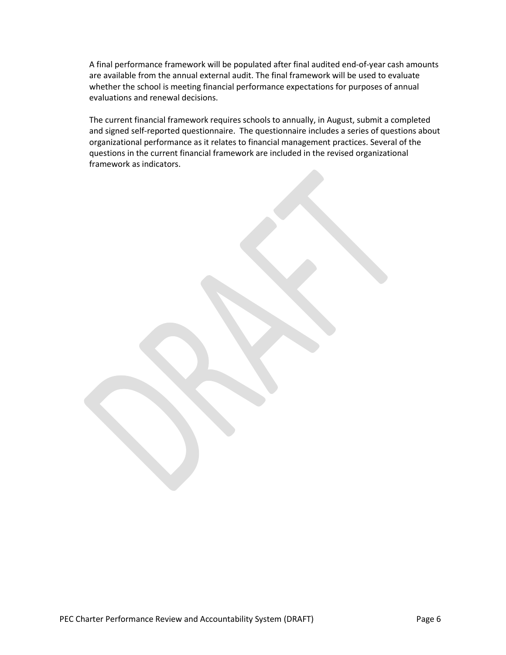A final performance framework will be populated after final audited end-of-year cash amounts are available from the annual external audit. The final framework will be used to evaluate whether the school is meeting financial performance expectations for purposes of annual evaluations and renewal decisions.

The current financial framework requires schools to annually, in August, submit a completed and signed self-reported questionnaire. The questionnaire includes a series of questions about organizational performance as it relates to financial management practices. Several of the questions in the current financial framework are included in the revised organizational framework as indicators.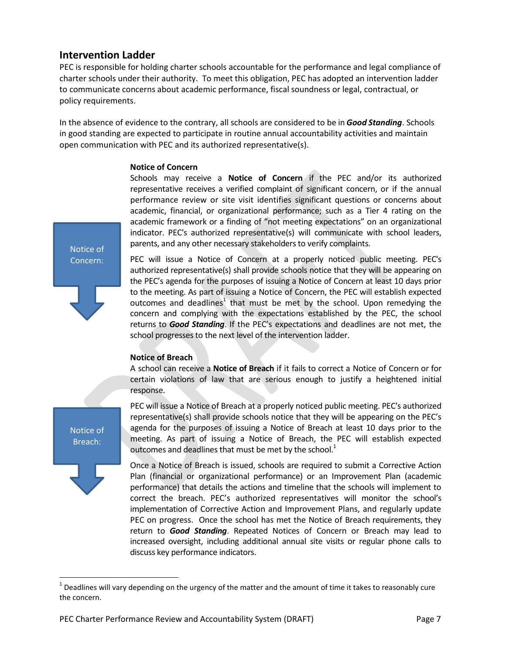### <span id="page-6-0"></span>**Intervention Ladder**

PEC is responsible for holding charter schools accountable for the performance and legal compliance of charter schools under their authority. To meet this obligation, PEC has adopted an intervention ladder to communicate concerns about academic performance, fiscal soundness or legal, contractual, or policy requirements.

In the absence of evidence to the contrary, all schools are considered to be in *Good Standing*. Schools in good standing are expected to participate in routine annual accountability activities and maintain open communication with PEC and its authorized representative(s).

#### **Notice of Concern**

Schools may receive a **Notice of Concern** if the PEC and/or its authorized representative receives a verified complaint of significant concern, or if the annual performance review or site visit identifies significant questions or concerns about academic, financial, or organizational performance; such as a Tier 4 rating on the academic framework or a finding of "not meeting expectations" on an organizational indicator. PEC's authorized representative(s) will communicate with school leaders, parents, and any other necessary stakeholders to verify complaints.

Notice of Concern:

PEC will issue a Notice of Concern at a properly noticed public meeting. PEC's authorized representative(s) shall provide schools notice that they will be appearing on the PEC's agenda for the purposes of issuing a Notice of Concern at least 10 days prior to the meeting. As part of issuing a Notice of Concern, the PEC will establish expected outcomes and deadlines<sup>1</sup> that must be met by the school. Upon remedying the concern and complying with the expectations established by the PEC, the school returns to *Good Standing*. If the PEC's expectations and deadlines are not met, the school progresses to the next level of the intervention ladder.

#### **Notice of Breach**

A school can receive a **Notice of Breach** if it fails to correct a Notice of Concern or for certain violations of law that are serious enough to justify a heightened initial response.

Notice of Breach:

 $\overline{a}$ 

PEC will issue a Notice of Breach at a properly noticed public meeting. PEC's authorized representative(s) shall provide schools notice that they will be appearing on the PEC's agenda for the purposes of issuing a Notice of Breach at least 10 days prior to the meeting. As part of issuing a Notice of Breach, the PEC will establish expected outcomes and deadlines that must be met by the school.<sup>1</sup>

Once a Notice of Breach is issued, schools are required to submit a Corrective Action Plan (financial or organizational performance) or an Improvement Plan (academic performance) that details the actions and timeline that the schools will implement to correct the breach. PEC's authorized representatives will monitor the school's implementation of Corrective Action and Improvement Plans, and regularly update PEC on progress. Once the school has met the Notice of Breach requirements, they return to *Good Standing*. Repeated Notices of Concern or Breach may lead to increased oversight, including additional annual site visits or regular phone calls to discuss key performance indicators.

 $^1$  Deadlines will vary depending on the urgency of the matter and the amount of time it takes to reasonably cure the concern.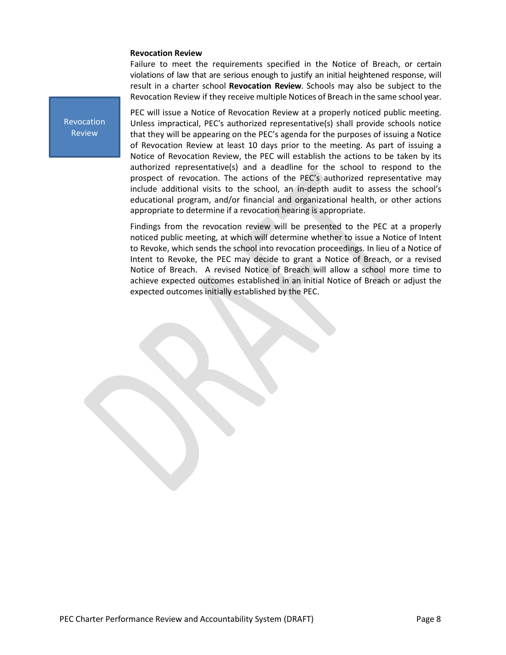#### **Revocation Review**

Failure to meet the requirements specified in the Notice of Breach, or certain violations of law that are serious enough to justify an initial heightened response, will result in a charter school **Revocation Review**. Schools may also be subject to the Revocation Review if they receive multiple Notices of Breach in the same school year.

Revocation Review

PEC will issue a Notice of Revocation Review at a properly noticed public meeting. Unless impractical, PEC's authorized representative(s) shall provide schools notice that they will be appearing on the PEC's agenda for the purposes of issuing a Notice of Revocation Review at least 10 days prior to the meeting. As part of issuing a Notice of Revocation Review, the PEC will establish the actions to be taken by its authorized representative(s) and a deadline for the school to respond to the prospect of revocation. The actions of the PEC's authorized representative may include additional visits to the school, an in-depth audit to assess the school's educational program, and/or financial and organizational health, or other actions appropriate to determine if a revocation hearing is appropriate.

Findings from the revocation review will be presented to the PEC at a properly noticed public meeting, at which will determine whether to issue a Notice of Intent to Revoke, which sends the school into revocation proceedings. In lieu of a Notice of Intent to Revoke, the PEC may decide to grant a Notice of Breach, or a revised Notice of Breach. A revised Notice of Breach will allow a school more time to achieve expected outcomes established in an initial Notice of Breach or adjust the expected outcomes initially established by the PEC.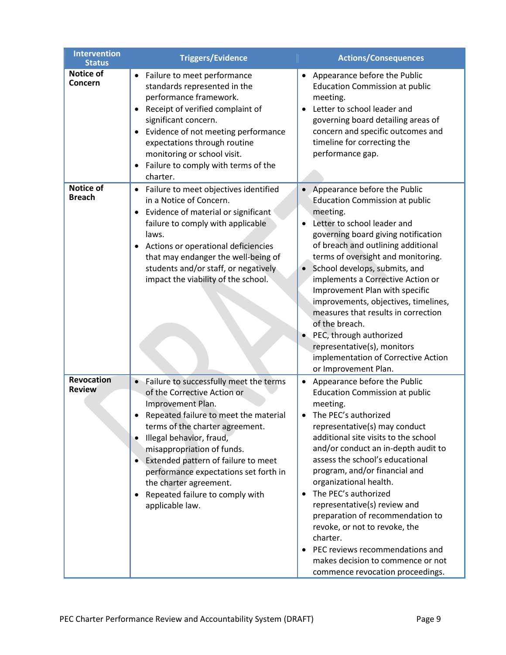| <b>Intervention</b><br><b>Status</b> | <b>Triggers/Evidence</b>                                                                                                                                                                                                                                                                                                                                                                                                   | <b>Actions/Consequences</b>                                                                                                                                                                                                                                                                                                                                                                                                                                                                                                                                                        |
|--------------------------------------|----------------------------------------------------------------------------------------------------------------------------------------------------------------------------------------------------------------------------------------------------------------------------------------------------------------------------------------------------------------------------------------------------------------------------|------------------------------------------------------------------------------------------------------------------------------------------------------------------------------------------------------------------------------------------------------------------------------------------------------------------------------------------------------------------------------------------------------------------------------------------------------------------------------------------------------------------------------------------------------------------------------------|
| Notice of<br>Concern                 | Failure to meet performance<br>standards represented in the<br>performance framework.<br>Receipt of verified complaint of<br>$\bullet$<br>significant concern.<br>Evidence of not meeting performance<br>expectations through routine<br>monitoring or school visit.<br>Failure to comply with terms of the<br>charter.                                                                                                    | Appearance before the Public<br><b>Education Commission at public</b><br>meeting.<br>Letter to school leader and<br>governing board detailing areas of<br>concern and specific outcomes and<br>timeline for correcting the<br>performance gap.                                                                                                                                                                                                                                                                                                                                     |
| Notice of<br><b>Breach</b>           | Failure to meet objectives identified<br>$\bullet$<br>in a Notice of Concern.<br>Evidence of material or significant<br>$\bullet$<br>failure to comply with applicable<br>laws.<br>Actions or operational deficiencies<br>that may endanger the well-being of<br>students and/or staff, or negatively<br>impact the viability of the school.                                                                               | Appearance before the Public<br><b>Education Commission at public</b><br>meeting.<br>Letter to school leader and<br>governing board giving notification<br>of breach and outlining additional<br>terms of oversight and monitoring.<br>School develops, submits, and<br>$\bullet$<br>implements a Corrective Action or<br>Improvement Plan with specific<br>improvements, objectives, timelines,<br>measures that results in correction<br>of the breach.<br>PEC, through authorized<br>representative(s), monitors<br>implementation of Corrective Action<br>or Improvement Plan. |
| Revocation<br><b>Review</b>          | Failure to successfully meet the terms<br>$\bullet$<br>of the Corrective Action or<br>Improvement Plan.<br>Repeated failure to meet the material<br>terms of the charter agreement.<br>Illegal behavior, fraud,<br>$\bullet$<br>misappropriation of funds.<br>Extended pattern of failure to meet<br>performance expectations set forth in<br>the charter agreement.<br>Repeated failure to comply with<br>applicable law. | Appearance before the Public<br><b>Education Commission at public</b><br>meeting.<br>The PEC's authorized<br>representative(s) may conduct<br>additional site visits to the school<br>and/or conduct an in-depth audit to<br>assess the school's educational<br>program, and/or financial and<br>organizational health.<br>The PEC's authorized<br>representative(s) review and<br>preparation of recommendation to<br>revoke, or not to revoke, the<br>charter.<br>PEC reviews recommendations and<br>makes decision to commence or not<br>commence revocation proceedings.       |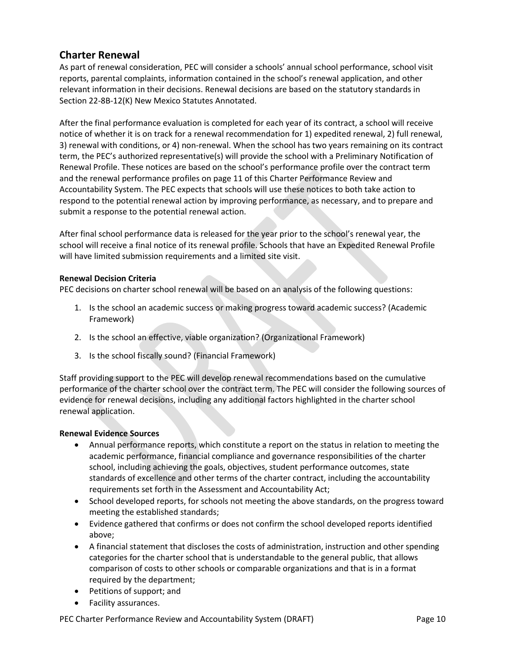# <span id="page-9-0"></span>**Charter Renewal**

As part of renewal consideration, PEC will consider a schools' annual school performance, school visit reports, parental complaints, information contained in the school's renewal application, and other relevant information in their decisions. Renewal decisions are based on the statutory standards in Section 22-8B-12(K) New Mexico Statutes Annotated.

After the final performance evaluation is completed for each year of its contract, a school will receive notice of whether it is on track for a renewal recommendation for 1) expedited renewal, 2) full renewal, 3) renewal with conditions, or 4) non-renewal. When the school has two years remaining on its contract term, the PEC's authorized representative(s) will provide the school with a Preliminary Notification of Renewal Profile. These notices are based on the school's performance profile over the contract term and the renewal performance profiles on page 11 of this Charter Performance Review and Accountability System. The PEC expects that schools will use these notices to both take action to respond to the potential renewal action by improving performance, as necessary, and to prepare and submit a response to the potential renewal action.

After final school performance data is released for the year prior to the school's renewal year, the school will receive a final notice of its renewal profile. Schools that have an Expedited Renewal Profile will have limited submission requirements and a limited site visit.

#### **Renewal Decision Criteria**

PEC decisions on charter school renewal will be based on an analysis of the following questions:

- 1. Is the school an academic success or making progress toward academic success? (Academic Framework)
- 2. Is the school an effective, viable organization? (Organizational Framework)
- 3. Is the school fiscally sound? (Financial Framework)

Staff providing support to the PEC will develop renewal recommendations based on the cumulative performance of the charter school over the contract term. The PEC will consider the following sources of evidence for renewal decisions, including any additional factors highlighted in the charter school renewal application.

#### **Renewal Evidence Sources**

- Annual performance reports, which constitute a report on the status in relation to meeting the academic performance, financial compliance and governance responsibilities of the charter school, including achieving the goals, objectives, student performance outcomes, state standards of excellence and other terms of the charter contract, including the accountability requirements set forth in the Assessment and Accountability Act;
- School developed reports, for schools not meeting the above standards, on the progress toward meeting the established standards;
- Evidence gathered that confirms or does not confirm the school developed reports identified above;
- A financial statement that discloses the costs of administration, instruction and other spending categories for the charter school that is understandable to the general public, that allows comparison of costs to other schools or comparable organizations and that is in a format required by the department;
- Petitions of support; and
- Facility assurances.

PEC Charter Performance Review and Accountability System (DRAFT) Page 10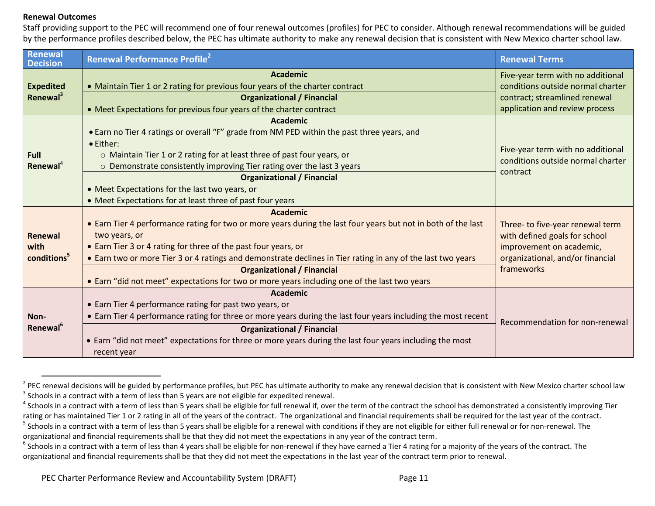#### **Renewal Outcomes**

Staff providing support to the PEC will recommend one of four renewal outcomes (profiles) for PEC to consider. Although renewal recommendations will be guided by the performance profiles described below, the PEC has ultimate authority to make any renewal decision that is consistent with New Mexico charter school law.

| Renewal<br><b>Decision</b>  | <b>Renewal Performance Profile</b> <sup>2</sup>                                                               | <b>Renewal Terms</b>                                                   |  |
|-----------------------------|---------------------------------------------------------------------------------------------------------------|------------------------------------------------------------------------|--|
|                             | <b>Academic</b>                                                                                               | Five-year term with no additional                                      |  |
| <b>Expedited</b>            | • Maintain Tier 1 or 2 rating for previous four years of the charter contract                                 | conditions outside normal charter                                      |  |
| Renewal <sup>3</sup>        | <b>Organizational / Financial</b>                                                                             | contract; streamlined renewal                                          |  |
|                             | • Meet Expectations for previous four years of the charter contract                                           | application and review process                                         |  |
|                             | <b>Academic</b>                                                                                               |                                                                        |  |
|                             | • Earn no Tier 4 ratings or overall "F" grade from NM PED within the past three years, and                    |                                                                        |  |
|                             | • Either:                                                                                                     |                                                                        |  |
| <b>Full</b>                 | $\circ$ Maintain Tier 1 or 2 rating for at least three of past four years, or                                 | Five-year term with no additional<br>conditions outside normal charter |  |
| Renewal <sup>4</sup>        | $\circ$ Demonstrate consistently improving Tier rating over the last 3 years                                  | contract                                                               |  |
|                             | <b>Organizational / Financial</b>                                                                             |                                                                        |  |
|                             | • Meet Expectations for the last two years, or                                                                |                                                                        |  |
|                             | • Meet Expectations for at least three of past four years                                                     |                                                                        |  |
|                             | <b>Academic</b>                                                                                               |                                                                        |  |
|                             | • Earn Tier 4 performance rating for two or more years during the last four years but not in both of the last | Three- to five-year renewal term                                       |  |
| <b>Renewal</b>              | two years, or                                                                                                 | with defined goals for school                                          |  |
| with                        | • Earn Tier 3 or 4 rating for three of the past four years, or                                                | improvement on academic,                                               |  |
| conditions <sup>5</sup>     | • Earn two or more Tier 3 or 4 ratings and demonstrate declines in Tier rating in any of the last two years   | organizational, and/or financial                                       |  |
|                             | <b>Organizational / Financial</b>                                                                             | frameworks                                                             |  |
|                             | • Earn "did not meet" expectations for two or more years including one of the last two years                  |                                                                        |  |
|                             | Academic                                                                                                      |                                                                        |  |
|                             | • Earn Tier 4 performance rating for past two years, or                                                       |                                                                        |  |
| Non-                        | • Earn Tier 4 performance rating for three or more years during the last four years including the most recent |                                                                        |  |
| <b>Renewal</b> <sup>6</sup> | <b>Organizational / Financial</b>                                                                             | Recommendation for non-renewal                                         |  |
|                             | • Earn "did not meet" expectations for three or more years during the last four years including the most      |                                                                        |  |
|                             | recent year                                                                                                   |                                                                        |  |

PEC renewal decisions will be guided by performance profiles, but PEC has ultimate authority to make any renewal decision that is consistent with New Mexico charter school law  $3$  Schools in a contract with a term of less than 5 years are not eligible for expedited renewal.

 $^4$  Schools in a contract with a term of less than 5 years shall be eligible for full renewal if, over the term of the contract the school has demonstrated a consistently improving Tier rating or has maintained Tier 1 or 2 rating in all of the years of the contract. The organizational and financial requirements shall be required for the last year of the contract.

 $^5$  Schools in a contract with a term of less than 5 years shall be eligible for a renewal with conditions if they are not eligible for either full renewal or for non-renewal. The organizational and financial requirements shall be that they did not meet the expectations in any year of the contract term.

 $^6$  Schools in a contract with a term of less than 4 years shall be eligible for non-renewal if they have earned a Tier 4 rating for a majority of the years of the contract. The organizational and financial requirements shall be that they did not meet the expectations in the last year of the contract term prior to renewal.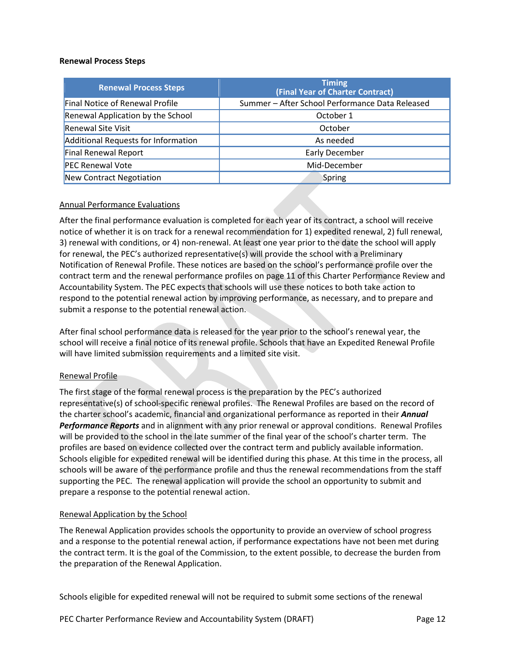#### **Renewal Process Steps**

| <b>Renewal Process Steps</b>        | <b>Timing</b><br>(Final Year of Charter Contract) |
|-------------------------------------|---------------------------------------------------|
| Final Notice of Renewal Profile     | Summer - After School Performance Data Released   |
| Renewal Application by the School   | October 1                                         |
| <b>Renewal Site Visit</b>           | October                                           |
| Additional Requests for Information | As needed                                         |
| Final Renewal Report                | Early December                                    |
| <b>PEC Renewal Vote</b>             | Mid-December                                      |
| New Contract Negotiation            | Spring                                            |

#### Annual Performance Evaluations

After the final performance evaluation is completed for each year of its contract, a school will receive notice of whether it is on track for a renewal recommendation for 1) expedited renewal, 2) full renewal, 3) renewal with conditions, or 4) non-renewal. At least one year prior to the date the school will apply for renewal, the PEC's authorized representative(s) will provide the school with a Preliminary Notification of Renewal Profile. These notices are based on the school's performance profile over the contract term and the renewal performance profiles on page 11 of this Charter Performance Review and Accountability System. The PEC expects that schools will use these notices to both take action to respond to the potential renewal action by improving performance, as necessary, and to prepare and submit a response to the potential renewal action.

After final school performance data is released for the year prior to the school's renewal year, the school will receive a final notice of its renewal profile. Schools that have an Expedited Renewal Profile will have limited submission requirements and a limited site visit.

#### Renewal Profile

The first stage of the formal renewal process is the preparation by the PEC's authorized representative(s) of school-specific renewal profiles. The Renewal Profiles are based on the record of the charter school's academic, financial and organizational performance as reported in their *Annual Performance Reports* and in alignment with any prior renewal or approval conditions. Renewal Profiles will be provided to the school in the late summer of the final year of the school's charter term. The profiles are based on evidence collected over the contract term and publicly available information. Schools eligible for expedited renewal will be identified during this phase. At this time in the process, all schools will be aware of the performance profile and thus the renewal recommendations from the staff supporting the PEC. The renewal application will provide the school an opportunity to submit and prepare a response to the potential renewal action.

#### Renewal Application by the School

The Renewal Application provides schools the opportunity to provide an overview of school progress and a response to the potential renewal action, if performance expectations have not been met during the contract term. It is the goal of the Commission, to the extent possible, to decrease the burden from the preparation of the Renewal Application.

Schools eligible for expedited renewal will not be required to submit some sections of the renewal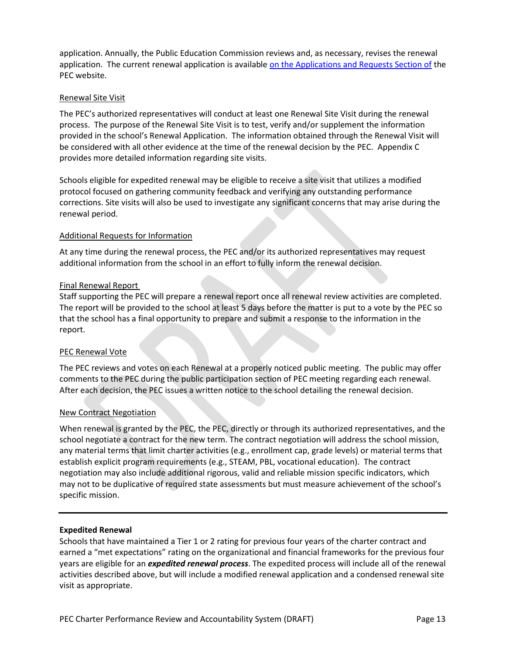application. Annually, the Public Education Commission reviews and, as necessary, revises the renewal application. The current renewal application is available [on the Applications and Requests Section of](https://webnew.ped.state.nm.us/bureaus/public-education-commission/applications-and-requests/renewal-application/) the PEC website.

#### Renewal Site Visit

The PEC's authorized representatives will conduct at least one Renewal Site Visit during the renewal process. The purpose of the Renewal Site Visit is to test, verify and/or supplement the information provided in the school's Renewal Application. The information obtained through the Renewal Visit will be considered with all other evidence at the time of the renewal decision by the PEC. Appendix C provides more detailed information regarding site visits.

Schools eligible for expedited renewal may be eligible to receive a site visit that utilizes a modified protocol focused on gathering community feedback and verifying any outstanding performance corrections. Site visits will also be used to investigate any significant concerns that may arise during the renewal period.

#### Additional Requests for Information

At any time during the renewal process, the PEC and/or its authorized representatives may request additional information from the school in an effort to fully inform the renewal decision.

#### Final Renewal Report

Staff supporting the PEC will prepare a renewal report once all renewal review activities are completed. The report will be provided to the school at least 5 days before the matter is put to a vote by the PEC so that the school has a final opportunity to prepare and submit a response to the information in the report.

#### PEC Renewal Vote

The PEC reviews and votes on each Renewal at a properly noticed public meeting. The public may offer comments to the PEC during the public participation section of PEC meeting regarding each renewal. After each decision, the PEC issues a written notice to the school detailing the renewal decision.

#### New Contract Negotiation

When renewal is granted by the PEC, the PEC, directly or through its authorized representatives, and the school negotiate a contract for the new term. The contract negotiation will address the school mission, any material terms that limit charter activities (e.g., enrollment cap, grade levels) or material terms that establish explicit program requirements (e.g., STEAM, PBL, vocational education). The contract negotiation may also include additional rigorous, valid and reliable mission specific indicators, which may not to be duplicative of required state assessments but must measure achievement of the school's specific mission.

#### **Expedited Renewal**

Schools that have maintained a Tier 1 or 2 rating for previous four years of the charter contract and earned a "met expectations" rating on the organizational and financial frameworks for the previous four years are eligible for an *expedited renewal process*. The expedited process will include all of the renewal activities described above, but will include a modified renewal application and a condensed renewal site visit as appropriate.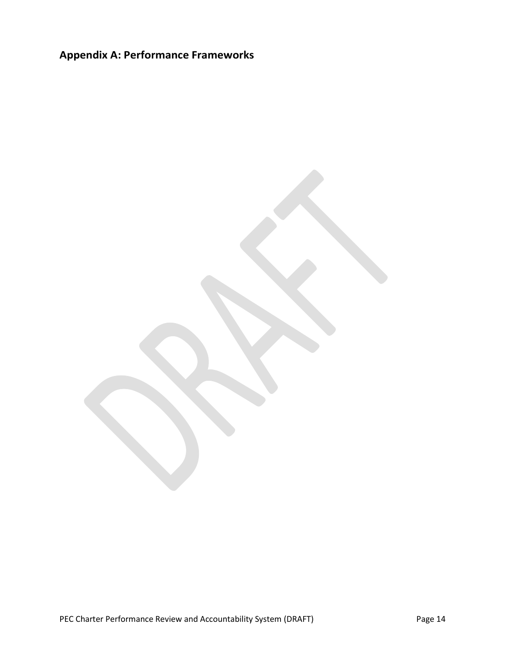# <span id="page-13-0"></span>**Appendix A: Performance Frameworks**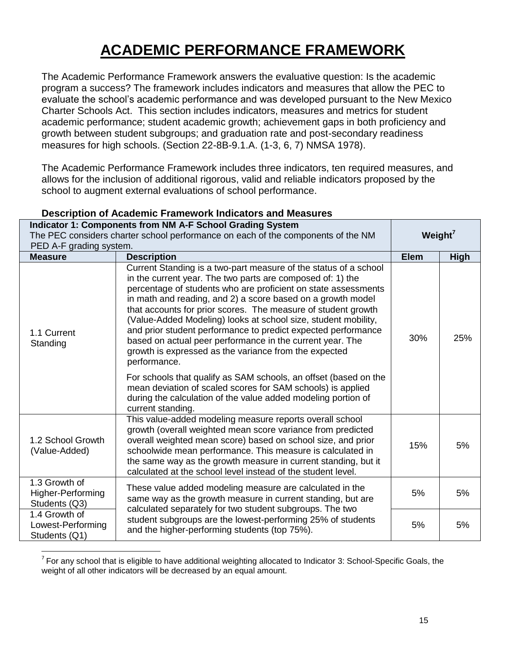# **ACADEMIC PERFORMANCE FRAMEWORK**

The Academic Performance Framework answers the evaluative question: Is the academic program a success? The framework includes indicators and measures that allow the PEC to evaluate the school's academic performance and was developed pursuant to the New Mexico Charter Schools Act. This section includes indicators, measures and metrics for student academic performance; student academic growth; achievement gaps in both proficiency and growth between student subgroups; and graduation rate and post-secondary readiness measures for high schools. (Section 22-8B-9.1.A. (1-3, 6, 7) NMSA 1978).

The Academic Performance Framework includes three indicators, ten required measures, and allows for the inclusion of additional rigorous, valid and reliable indicators proposed by the school to augment external evaluations of school performance.

|                                                                                  | <b>Indicator 1: Components from NM A-F School Grading System</b>                                                                                                                                                                                                                                                                                                                                                                                                                                                                                                                                          |             |                     |  |
|----------------------------------------------------------------------------------|-----------------------------------------------------------------------------------------------------------------------------------------------------------------------------------------------------------------------------------------------------------------------------------------------------------------------------------------------------------------------------------------------------------------------------------------------------------------------------------------------------------------------------------------------------------------------------------------------------------|-------------|---------------------|--|
| The PEC considers charter school performance on each of the components of the NM |                                                                                                                                                                                                                                                                                                                                                                                                                                                                                                                                                                                                           |             | Weight <sup>7</sup> |  |
| PED A-F grading system.                                                          |                                                                                                                                                                                                                                                                                                                                                                                                                                                                                                                                                                                                           |             |                     |  |
| <b>Measure</b>                                                                   | <b>Description</b>                                                                                                                                                                                                                                                                                                                                                                                                                                                                                                                                                                                        | <b>Elem</b> | <b>High</b>         |  |
| 1.1 Current<br>Standing                                                          | Current Standing is a two-part measure of the status of a school<br>in the current year. The two parts are composed of: 1) the<br>percentage of students who are proficient on state assessments<br>in math and reading, and 2) a score based on a growth model<br>that accounts for prior scores. The measure of student growth<br>(Value-Added Modeling) looks at school size, student mobility,<br>and prior student performance to predict expected performance<br>based on actual peer performance in the current year. The<br>growth is expressed as the variance from the expected<br>performance. | 30%         | 25%                 |  |
|                                                                                  | For schools that qualify as SAM schools, an offset (based on the<br>mean deviation of scaled scores for SAM schools) is applied<br>during the calculation of the value added modeling portion of<br>current standing.                                                                                                                                                                                                                                                                                                                                                                                     |             |                     |  |
| 1.2 School Growth<br>(Value-Added)                                               | This value-added modeling measure reports overall school<br>growth (overall weighted mean score variance from predicted<br>overall weighted mean score) based on school size, and prior<br>schoolwide mean performance. This measure is calculated in<br>the same way as the growth measure in current standing, but it<br>calculated at the school level instead of the student level.                                                                                                                                                                                                                   | 15%         | 5%                  |  |
| 1.3 Growth of<br>Higher-Performing<br>Students (Q3)                              | These value added modeling measure are calculated in the<br>5%<br>same way as the growth measure in current standing, but are<br>calculated separately for two student subgroups. The two<br>student subgroups are the lowest-performing 25% of students<br>5%<br>and the higher-performing students (top 75%).                                                                                                                                                                                                                                                                                           |             | 5%                  |  |
| 1.4 Growth of<br>Lowest-Performing<br>Students (Q1)                              |                                                                                                                                                                                                                                                                                                                                                                                                                                                                                                                                                                                                           |             | 5%                  |  |

## **Description of Academic Framework Indicators and Measures**

 $\overline{a}$  $7$  For any school that is eligible to have additional weighting allocated to Indicator 3: School-Specific Goals, the weight of all other indicators will be decreased by an equal amount.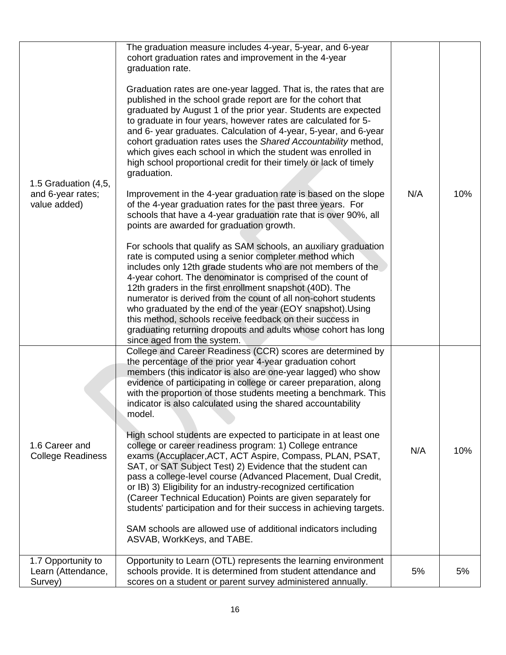| 1.5 Graduation (4,5,<br>and 6-year rates;<br>value added) | The graduation measure includes 4-year, 5-year, and 6-year<br>cohort graduation rates and improvement in the 4-year<br>graduation rate.<br>Graduation rates are one-year lagged. That is, the rates that are<br>published in the school grade report are for the cohort that<br>graduated by August 1 of the prior year. Students are expected<br>to graduate in four years, however rates are calculated for 5-<br>and 6- year graduates. Calculation of 4-year, 5-year, and 6-year<br>cohort graduation rates uses the Shared Accountability method,<br>which gives each school in which the student was enrolled in<br>high school proportional credit for their timely or lack of timely<br>graduation.<br>Improvement in the 4-year graduation rate is based on the slope<br>of the 4-year graduation rates for the past three years. For<br>schools that have a 4-year graduation rate that is over 90%, all<br>points are awarded for graduation growth.<br>For schools that qualify as SAM schools, an auxiliary graduation<br>rate is computed using a senior completer method which<br>includes only 12th grade students who are not members of the<br>4-year cohort. The denominator is comprised of the count of<br>12th graders in the first enrollment snapshot (40D). The<br>numerator is derived from the count of all non-cohort students<br>who graduated by the end of the year (EOY snapshot). Using<br>this method, schools receive feedback on their success in<br>graduating returning dropouts and adults whose cohort has long<br>since aged from the system. | N/A | 10% |
|-----------------------------------------------------------|----------------------------------------------------------------------------------------------------------------------------------------------------------------------------------------------------------------------------------------------------------------------------------------------------------------------------------------------------------------------------------------------------------------------------------------------------------------------------------------------------------------------------------------------------------------------------------------------------------------------------------------------------------------------------------------------------------------------------------------------------------------------------------------------------------------------------------------------------------------------------------------------------------------------------------------------------------------------------------------------------------------------------------------------------------------------------------------------------------------------------------------------------------------------------------------------------------------------------------------------------------------------------------------------------------------------------------------------------------------------------------------------------------------------------------------------------------------------------------------------------------------------------------------------------------------------------------------|-----|-----|
| 1.6 Career and<br><b>College Readiness</b>                | College and Career Readiness (CCR) scores are determined by<br>the percentage of the prior year 4-year graduation cohort<br>members (this indicator is also are one-year lagged) who show<br>evidence of participating in college or career preparation, along<br>with the proportion of those students meeting a benchmark. This<br>indicator is also calculated using the shared accountability<br>model.<br>High school students are expected to participate in at least one<br>college or career readiness program: 1) College entrance<br>exams (Accuplacer, ACT, ACT Aspire, Compass, PLAN, PSAT,<br>SAT, or SAT Subject Test) 2) Evidence that the student can<br>pass a college-level course (Advanced Placement, Dual Credit,<br>or IB) 3) Eligibility for an industry-recognized certification<br>(Career Technical Education) Points are given separately for<br>students' participation and for their success in achieving targets.<br>SAM schools are allowed use of additional indicators including<br>ASVAB, WorkKeys, and TABE.                                                                                                                                                                                                                                                                                                                                                                                                                                                                                                                                        | N/A | 10% |
| 1.7 Opportunity to<br>Learn (Attendance,<br>Survey)       | Opportunity to Learn (OTL) represents the learning environment<br>schools provide. It is determined from student attendance and<br>scores on a student or parent survey administered annually.                                                                                                                                                                                                                                                                                                                                                                                                                                                                                                                                                                                                                                                                                                                                                                                                                                                                                                                                                                                                                                                                                                                                                                                                                                                                                                                                                                                         | 5%  | 5%  |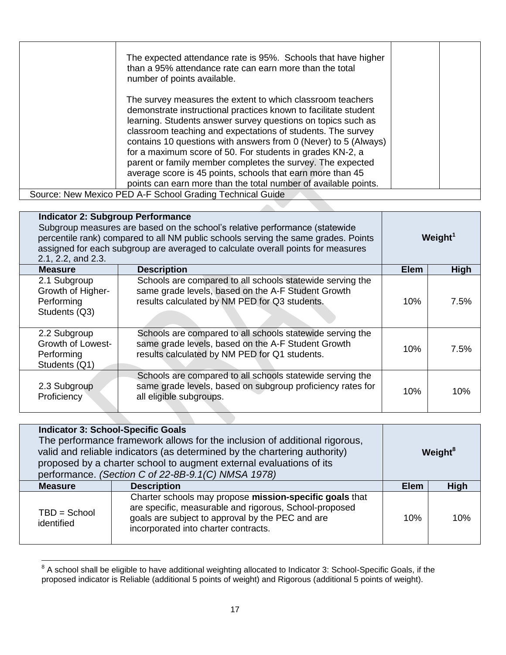|  | The expected attendance rate is 95%. Schools that have higher<br>than a 95% attendance rate can earn more than the total<br>number of points available.                                                                                                                                                                                                                                                                                                                                                                                                                                     |  |
|--|---------------------------------------------------------------------------------------------------------------------------------------------------------------------------------------------------------------------------------------------------------------------------------------------------------------------------------------------------------------------------------------------------------------------------------------------------------------------------------------------------------------------------------------------------------------------------------------------|--|
|  | The survey measures the extent to which classroom teachers<br>demonstrate instructional practices known to facilitate student<br>learning. Students answer survey questions on topics such as<br>classroom teaching and expectations of students. The survey<br>contains 10 questions with answers from 0 (Never) to 5 (Always)<br>for a maximum score of 50. For students in grades KN-2, a<br>parent or family member completes the survey. The expected<br>average score is 45 points, schools that earn more than 45<br>points can earn more than the total number of available points. |  |
|  | Source: New Mexico PED A-F School Grading Technical Guide                                                                                                                                                                                                                                                                                                                                                                                                                                                                                                                                   |  |

| <b>Indicator 2: Subgroup Performance</b><br>Subgroup measures are based on the school's relative performance (statewide<br>percentile rank) compared to all NM public schools serving the same grades. Points<br>assigned for each subgroup are averaged to calculate overall points for measures<br>2.1, 2.2, and 2.3. |                                                                                                                                                                  | Weight <sup>1</sup> |      |
|-------------------------------------------------------------------------------------------------------------------------------------------------------------------------------------------------------------------------------------------------------------------------------------------------------------------------|------------------------------------------------------------------------------------------------------------------------------------------------------------------|---------------------|------|
| <b>Measure</b>                                                                                                                                                                                                                                                                                                          | <b>Description</b>                                                                                                                                               | <b>Elem</b>         | High |
| 2.1 Subgroup<br>Growth of Higher-<br>Performing<br>Students (Q3)                                                                                                                                                                                                                                                        | Schools are compared to all schools statewide serving the<br>same grade levels, based on the A-F Student Growth<br>results calculated by NM PED for Q3 students. | 10%                 | 7.5% |
| 2.2 Subgroup<br><b>Growth of Lowest-</b><br>Performing<br>Students (Q1)                                                                                                                                                                                                                                                 | Schools are compared to all schools statewide serving the<br>same grade levels, based on the A-F Student Growth<br>results calculated by NM PED for Q1 students. | 10%                 | 7.5% |
| 2.3 Subgroup<br>Proficiency                                                                                                                                                                                                                                                                                             | Schools are compared to all schools statewide serving the<br>same grade levels, based on subgroup proficiency rates for<br>all eligible subgroups.               | 10%                 | 10%  |

| <b>Indicator 3: School-Specific Goals</b><br>The performance framework allows for the inclusion of additional rigorous,<br>valid and reliable indicators (as determined by the chartering authority)<br>Weight <sup>8</sup><br>proposed by a charter school to augment external evaluations of its<br>performance. (Section C of 22-8B-9.1(C) NMSA 1978) |                                                                                                                                                                                                               |             |             |
|----------------------------------------------------------------------------------------------------------------------------------------------------------------------------------------------------------------------------------------------------------------------------------------------------------------------------------------------------------|---------------------------------------------------------------------------------------------------------------------------------------------------------------------------------------------------------------|-------------|-------------|
| <b>Measure</b>                                                                                                                                                                                                                                                                                                                                           | <b>Description</b>                                                                                                                                                                                            | <b>Elem</b> | <b>High</b> |
| $TBD = School$<br>identified                                                                                                                                                                                                                                                                                                                             | Charter schools may propose mission-specific goals that<br>are specific, measurable and rigorous, School-proposed<br>goals are subject to approval by the PEC and are<br>incorporated into charter contracts. | 10%         | 10%         |

<sup>&</sup>lt;u>entiled and</u><br><sup>8</sup> A school shall be eligible to have additional weighting allocated to Indicator 3: School-Specific Goals, if the proposed indicator is Reliable (additional 5 points of weight) and Rigorous (additional 5 points of weight).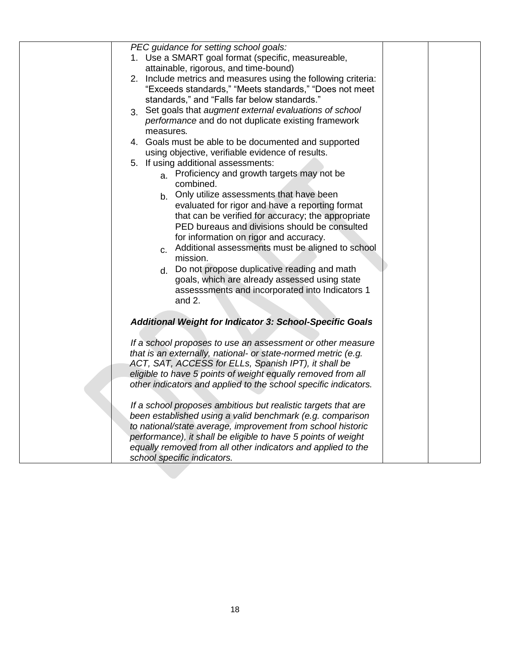| PEC guidance for setting school goals:                          |
|-----------------------------------------------------------------|
| 1. Use a SMART goal format (specific, measureable,              |
| attainable, rigorous, and time-bound)                           |
| 2. Include metrics and measures using the following criteria:   |
| "Exceeds standards," "Meets standards," "Does not meet          |
| standards," and "Falls far below standards."                    |
|                                                                 |
| 3. Set goals that augment external evaluations of school        |
| performance and do not duplicate existing framework             |
| measures.                                                       |
| 4. Goals must be able to be documented and supported            |
| using objective, verifiable evidence of results.                |
| 5. If using additional assessments:                             |
| a. Proficiency and growth targets may not be                    |
| combined.                                                       |
| Only utilize assessments that have been<br>b <sub>1</sub>       |
| evaluated for rigor and have a reporting format                 |
| that can be verified for accuracy; the appropriate              |
| PED bureaus and divisions should be consulted                   |
| for information on rigor and accuracy.                          |
| c. Additional assessments must be aligned to school             |
| mission.                                                        |
|                                                                 |
| Do not propose duplicative reading and math<br>d.               |
| goals, which are already assessed using state                   |
| assesssments and incorporated into Indicators 1                 |
| and $2$ .                                                       |
|                                                                 |
| <b>Additional Weight for Indicator 3: School-Specific Goals</b> |
|                                                                 |
| If a school proposes to use an assessment or other measure      |
| that is an externally, national- or state-normed metric (e.g.   |
| ACT, SAT, ACCESS for ELLs, Spanish IPT), it shall be            |
| eligible to have 5 points of weight equally removed from all    |
| other indicators and applied to the school specific indicators. |
|                                                                 |
| If a school proposes ambitious but realistic targets that are   |
| been established using a valid benchmark (e.g. comparison       |
| to national/state average, improvement from school historic     |
| performance), it shall be eligible to have 5 points of weight   |
|                                                                 |
| equally removed from all other indicators and applied to the    |
| school specific indicators.                                     |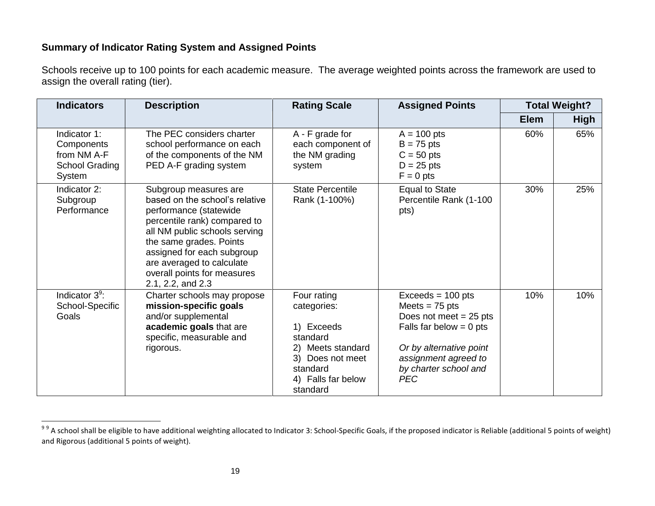## **Summary of Indicator Rating System and Assigned Points**

Schools receive up to 100 points for each academic measure. The average weighted points across the framework are used to assign the overall rating (tier).

| <b>Indicators</b>                                                     | <b>Description</b>                                                                                                                                                                                                                                                                           | <b>Rating Scale</b>                                                                                                                            | <b>Assigned Points</b>                                                                                                                                                                     |             | <b>Total Weight?</b> |
|-----------------------------------------------------------------------|----------------------------------------------------------------------------------------------------------------------------------------------------------------------------------------------------------------------------------------------------------------------------------------------|------------------------------------------------------------------------------------------------------------------------------------------------|--------------------------------------------------------------------------------------------------------------------------------------------------------------------------------------------|-------------|----------------------|
|                                                                       |                                                                                                                                                                                                                                                                                              |                                                                                                                                                |                                                                                                                                                                                            | <b>Elem</b> | <b>High</b>          |
| Indicator 1:<br>Components<br>from NM A-F<br>School Grading<br>System | The PEC considers charter<br>school performance on each<br>of the components of the NM<br>PED A-F grading system                                                                                                                                                                             | A - F grade for<br>each component of<br>the NM grading<br>system                                                                               | $A = 100$ pts<br>$B = 75$ pts<br>$C = 50$ pts<br>$D = 25$ pts<br>$F = 0$ pts                                                                                                               | 60%         | 65%                  |
| Indicator 2:<br>Subgroup<br>Performance                               | Subgroup measures are<br>based on the school's relative<br>performance (statewide<br>percentile rank) compared to<br>all NM public schools serving<br>the same grades. Points<br>assigned for each subgroup<br>are averaged to calculate<br>overall points for measures<br>2.1, 2.2, and 2.3 | <b>State Percentile</b><br>Rank (1-100%)                                                                                                       | <b>Equal to State</b><br>Percentile Rank (1-100<br>pts)                                                                                                                                    | 30%         | 25%                  |
| Indicator $3^9$ :<br>School-Specific<br>Goals                         | Charter schools may propose<br>mission-specific goals<br>and/or supplemental<br>academic goals that are<br>specific, measurable and<br>rigorous.                                                                                                                                             | Four rating<br>categories:<br>1) Exceeds<br>standard<br>Meets standard<br>2)<br>3) Does not meet<br>standard<br>4) Falls far below<br>standard | $Exceeds = 100 pts$<br>Meets $= 75$ pts<br>Does not meet $= 25$ pts<br>Falls far below $= 0$ pts<br>Or by alternative point<br>assignment agreed to<br>by charter school and<br><b>PEC</b> | 10%         | 10%                  |

<sup>&</sup>lt;u>99</u><br>99 A school shall be eligible to have additional weighting allocated to Indicator 3: School-Specific Goals, if the proposed indicator is Reliable (additional 5 points of weight) and Rigorous (additional 5 points of weight).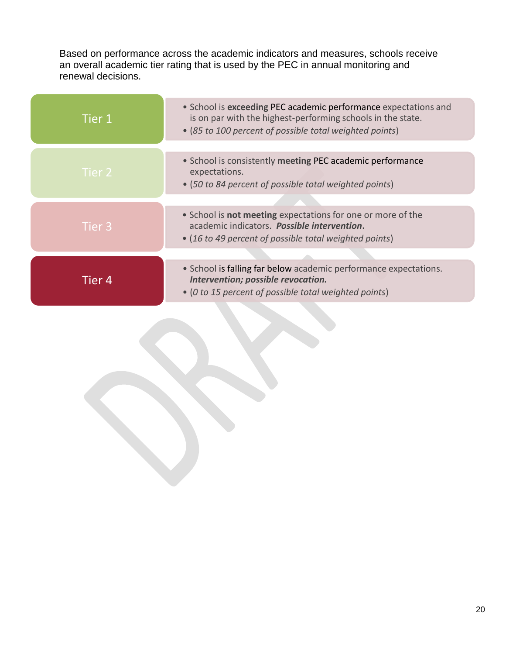Based on performance across the academic indicators and measures, schools receive an overall academic tier rating that is used by the PEC in annual monitoring and renewal decisions.

| Tier 1 | • School is exceeding PEC academic performance expectations and<br>is on par with the highest-performing schools in the state.<br>• (85 to 100 percent of possible total weighted points) |
|--------|-------------------------------------------------------------------------------------------------------------------------------------------------------------------------------------------|
|        |                                                                                                                                                                                           |
| Tier 2 | • School is consistently meeting PEC academic performance<br>expectations.<br>• (50 to 84 percent of possible total weighted points)                                                      |
|        |                                                                                                                                                                                           |
| Tier 3 | • School is not meeting expectations for one or more of the<br>academic indicators. Possible intervention.<br>• (16 to 49 percent of possible total weighted points)                      |
|        |                                                                                                                                                                                           |
| Tier 4 | • School is falling far below academic performance expectations.<br>Intervention; possible revocation.<br>• (0 to 15 percent of possible total weighted points)                           |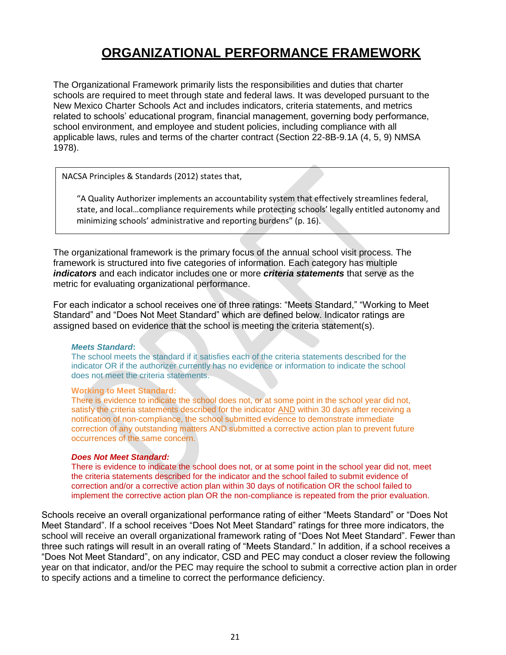# **ORGANIZATIONAL PERFORMANCE FRAMEWORK**

The Organizational Framework primarily lists the responsibilities and duties that charter schools are required to meet through state and federal laws. It was developed pursuant to the New Mexico Charter Schools Act and includes indicators, criteria statements, and metrics related to schools' educational program, financial management, governing body performance, school environment, and employee and student policies, including compliance with all applicable laws, rules and terms of the charter contract (Section 22-8B-9.1A (4, 5, 9) NMSA 1978).

NACSA Principles & Standards (2012) states that,

"A Quality Authorizer implements an accountability system that effectively streamlines federal, state, and local…compliance requirements while protecting schools' legally entitled autonomy and minimizing schools' administrative and reporting burdens" (p. 16).

The organizational framework is the primary focus of the annual school visit process. The framework is structured into five categories of information. Each category has multiple *indicators* and each indicator includes one or more *criteria statements* that serve as the metric for evaluating organizational performance.

For each indicator a school receives one of three ratings: "Meets Standard," "Working to Meet Standard" and "Does Not Meet Standard" which are defined below. Indicator ratings are assigned based on evidence that the school is meeting the criteria statement(s).

#### *Meets Standard***:**

The school meets the standard if it satisfies each of the criteria statements described for the indicator OR if the authorizer currently has no evidence or information to indicate the school does not meet the criteria statements.

#### **Working to Meet Standard:**

There is evidence to indicate the school does not, or at some point in the school year did not, satisfy the criteria statements described for the indicator AND within 30 days after receiving a notification of non-compliance, the school submitted evidence to demonstrate immediate correction of any outstanding matters AND submitted a corrective action plan to prevent future occurrences of the same concern.

#### *Does Not Meet Standard:*

There is evidence to indicate the school does not, or at some point in the school year did not, meet the criteria statements described for the indicator and the school failed to submit evidence of correction and/or a corrective action plan within 30 days of notification OR the school failed to implement the corrective action plan OR the non-compliance is repeated from the prior evaluation.

Schools receive an overall organizational performance rating of either "Meets Standard" or "Does Not Meet Standard". If a school receives "Does Not Meet Standard" ratings for three more indicators, the school will receive an overall organizational framework rating of "Does Not Meet Standard". Fewer than three such ratings will result in an overall rating of "Meets Standard." In addition, if a school receives a "Does Not Meet Standard", on any indicator, CSD and PEC may conduct a closer review the following year on that indicator, and/or the PEC may require the school to submit a corrective action plan in order to specify actions and a timeline to correct the performance deficiency.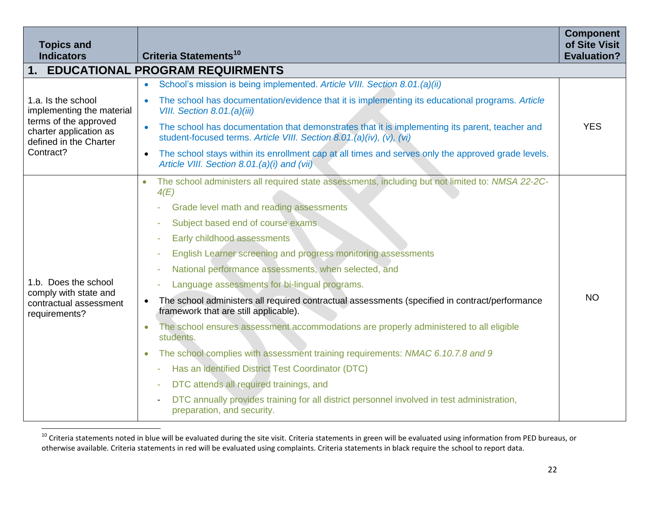| <b>Topics and</b><br><b>Indicators</b>                                                                                                    | Criteria Statements <sup>10</sup>                                                                                                                                                                                                                                                                                                                                                                                                                                                                                                                                                                                                                                                                                                                                                                                                                                                                                                                                                                          | <b>Component</b><br>of Site Visit<br><b>Evaluation?</b> |
|-------------------------------------------------------------------------------------------------------------------------------------------|------------------------------------------------------------------------------------------------------------------------------------------------------------------------------------------------------------------------------------------------------------------------------------------------------------------------------------------------------------------------------------------------------------------------------------------------------------------------------------------------------------------------------------------------------------------------------------------------------------------------------------------------------------------------------------------------------------------------------------------------------------------------------------------------------------------------------------------------------------------------------------------------------------------------------------------------------------------------------------------------------------|---------------------------------------------------------|
| 1.                                                                                                                                        | <b>EDUCATIONAL PROGRAM REQUIRMENTS</b>                                                                                                                                                                                                                                                                                                                                                                                                                                                                                                                                                                                                                                                                                                                                                                                                                                                                                                                                                                     |                                                         |
| 1.a. Is the school<br>implementing the material<br>terms of the approved<br>charter application as<br>defined in the Charter<br>Contract? | School's mission is being implemented. Article VIII. Section 8.01.(a)(ii)<br>$\bullet$                                                                                                                                                                                                                                                                                                                                                                                                                                                                                                                                                                                                                                                                                                                                                                                                                                                                                                                     |                                                         |
|                                                                                                                                           | The school has documentation/evidence that it is implementing its educational programs. Article<br>VIII. Section 8.01.(a)(iii)                                                                                                                                                                                                                                                                                                                                                                                                                                                                                                                                                                                                                                                                                                                                                                                                                                                                             |                                                         |
|                                                                                                                                           | The school has documentation that demonstrates that it is implementing its parent, teacher and<br>$\bullet$<br>student-focused terms. Article VIII. Section 8.01.(a)(iv), (v), (vi)                                                                                                                                                                                                                                                                                                                                                                                                                                                                                                                                                                                                                                                                                                                                                                                                                        | <b>YES</b>                                              |
|                                                                                                                                           | The school stays within its enrollment cap at all times and serves only the approved grade levels.<br>$\bullet$<br>Article VIII. Section 8.01.(a)(i) and (vii)                                                                                                                                                                                                                                                                                                                                                                                                                                                                                                                                                                                                                                                                                                                                                                                                                                             |                                                         |
| 1.b. Does the school<br>comply with state and<br>contractual assessment<br>requirements?                                                  | The school administers all required state assessments, including but not limited to: NMSA 22-2C-<br>4(E)<br>Grade level math and reading assessments<br>Subject based end of course exams.<br>Early childhood assessments<br>English Learner screening and progress monitoring assessments<br>National performance assessments, when selected, and<br>Language assessments for bi-lingual programs.<br>The school administers all required contractual assessments (specified in contract/performance<br>$\bullet$<br>framework that are still applicable).<br>The school ensures assessment accommodations are properly administered to all eligible<br>$\bullet$<br>students.<br>The school complies with assessment training requirements: NMAC 6.10.7.8 and 9<br>$\bullet$<br>Has an identified District Test Coordinator (DTC)<br>DTC attends all required trainings, and<br>DTC annually provides training for all district personnel involved in test administration,<br>preparation, and security. | <b>NO</b>                                               |

<sup>&</sup>lt;sup>10</sup> Criteria statements noted in blue will be evaluated during the site visit. Criteria statements in green will be evaluated using information from PED bureaus, or otherwise available. Criteria statements in red will be evaluated using complaints. Criteria statements in black require the school to report data.

 $\overline{a}$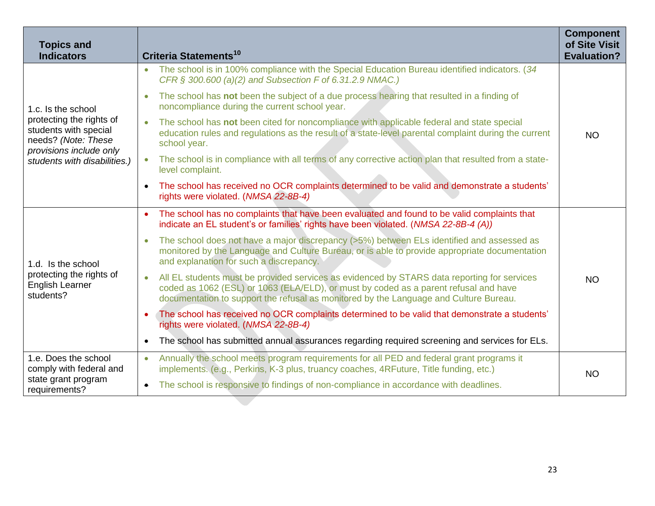| <b>Topics and</b><br><b>Indicators</b>                                                                                                                    | Criteria Statements <sup>10</sup>                                                                                                                                                                                                                                            | <b>Component</b><br>of Site Visit<br><b>Evaluation?</b> |
|-----------------------------------------------------------------------------------------------------------------------------------------------------------|------------------------------------------------------------------------------------------------------------------------------------------------------------------------------------------------------------------------------------------------------------------------------|---------------------------------------------------------|
| 1.c. Is the school<br>protecting the rights of<br>students with special<br>needs? (Note: These<br>provisions include only<br>students with disabilities.) | The school is in 100% compliance with the Special Education Bureau identified indicators. (34<br>$\bullet$<br>CFR § 300.600 (a)(2) and Subsection F of 6.31.2.9 NMAC.)                                                                                                       |                                                         |
|                                                                                                                                                           | The school has not been the subject of a due process hearing that resulted in a finding of<br>noncompliance during the current school year.                                                                                                                                  |                                                         |
|                                                                                                                                                           | The school has not been cited for noncompliance with applicable federal and state special<br>education rules and regulations as the result of a state-level parental complaint during the current<br>school year.                                                            | <b>NO</b>                                               |
|                                                                                                                                                           | The school is in compliance with all terms of any corrective action plan that resulted from a state-<br>level complaint.                                                                                                                                                     |                                                         |
|                                                                                                                                                           | The school has received no OCR complaints determined to be valid and demonstrate a students'<br>$\bullet$<br>rights were violated. (NMSA 22-8B-4)                                                                                                                            |                                                         |
| 1.d. Is the school<br>protecting the rights of<br><b>English Learner</b><br>students?                                                                     | The school has no complaints that have been evaluated and found to be valid complaints that<br>$\bullet$<br>indicate an EL student's or families' rights have been violated. (NMSA 22-8B-4 (A))                                                                              |                                                         |
|                                                                                                                                                           | The school does not have a major discrepancy (>5%) between ELs identified and assessed as<br>monitored by the Language and Culture Bureau, or is able to provide appropriate documentation<br>and explanation for such a discrepancy.                                        |                                                         |
|                                                                                                                                                           | All EL students must be provided services as evidenced by STARS data reporting for services<br>coded as 1062 (ESL) or 1063 (ELA/ELD), or must by coded as a parent refusal and have<br>documentation to support the refusal as monitored by the Language and Culture Bureau. | <b>NO</b>                                               |
|                                                                                                                                                           | The school has received no OCR complaints determined to be valid that demonstrate a students'<br>rights were violated. (NMSA 22-8B-4)                                                                                                                                        |                                                         |
|                                                                                                                                                           | The school has submitted annual assurances regarding required screening and services for ELs.<br>$\bullet$                                                                                                                                                                   |                                                         |
| 1.e. Does the school<br>comply with federal and<br>state grant program<br>requirements?                                                                   | Annually the school meets program requirements for all PED and federal grant programs it<br>$\bullet$<br>implements. (e.g., Perkins, K-3 plus, truancy coaches, 4RFuture, Title funding, etc.)                                                                               | <b>NO</b>                                               |
|                                                                                                                                                           | The school is responsive to findings of non-compliance in accordance with deadlines.<br>$\bullet$                                                                                                                                                                            |                                                         |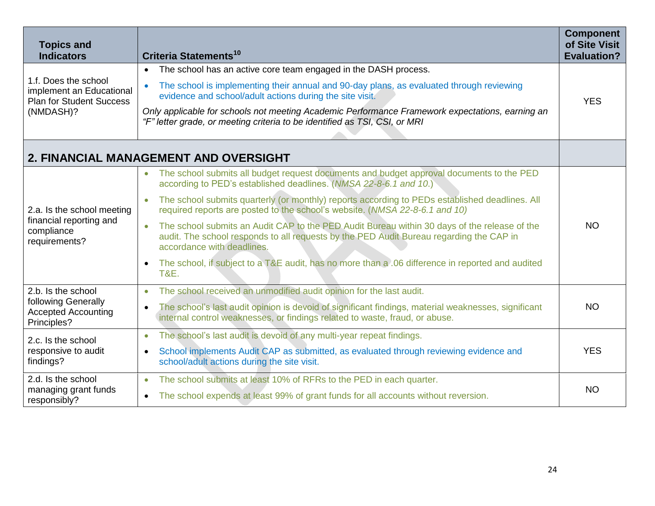| <b>Topics and</b><br><b>Indicators</b>                                                           | Criteria Statements <sup>10</sup>                                                                                                                                                                                     | <b>Component</b><br>of Site Visit<br><b>Evaluation?</b> |
|--------------------------------------------------------------------------------------------------|-----------------------------------------------------------------------------------------------------------------------------------------------------------------------------------------------------------------------|---------------------------------------------------------|
| 1.f. Does the school<br>implement an Educational<br><b>Plan for Student Success</b><br>(NMDASH)? | The school has an active core team engaged in the DASH process.<br>$\bullet$                                                                                                                                          |                                                         |
|                                                                                                  | The school is implementing their annual and 90-day plans, as evaluated through reviewing<br>evidence and school/adult actions during the site visit.                                                                  | <b>YES</b>                                              |
|                                                                                                  | Only applicable for schools not meeting Academic Performance Framework expectations, earning an<br>"F" letter grade, or meeting criteria to be identified as TSI, CSI, or MRI                                         |                                                         |
|                                                                                                  |                                                                                                                                                                                                                       |                                                         |
|                                                                                                  | 2. FINANCIAL MANAGEMENT AND OVERSIGHT                                                                                                                                                                                 |                                                         |
|                                                                                                  | The school submits all budget request documents and budget approval documents to the PED<br>$\bullet$<br>according to PED's established deadlines. (NMSA 22-8-6.1 and 10.)                                            |                                                         |
| 2.a. Is the school meeting                                                                       | The school submits quarterly (or monthly) reports according to PEDs established deadlines. All<br>$\bullet$<br>required reports are posted to the school's website. (NMSA 22-8-6.1 and 10)                            |                                                         |
| financial reporting and<br>compliance<br>requirements?                                           | The school submits an Audit CAP to the PED Audit Bureau within 30 days of the release of the<br>audit. The school responds to all requests by the PED Audit Bureau regarding the CAP in<br>accordance with deadlines. | <b>NO</b>                                               |
|                                                                                                  | The school, if subject to a T&E audit, has no more than a .06 difference in reported and audited<br>$\bullet$<br><b>T&amp;E.</b>                                                                                      |                                                         |
| 2.b. Is the school                                                                               | The school received an unmodified audit opinion for the last audit.<br>$\bullet$                                                                                                                                      |                                                         |
| following Generally<br><b>Accepted Accounting</b><br>Principles?                                 | The school's last audit opinion is devoid of significant findings, material weaknesses, significant<br>$\bullet$<br>internal control weaknesses, or findings related to waste, fraud, or abuse.                       | <b>NO</b>                                               |
| 2.c. Is the school                                                                               | The school's last audit is devoid of any multi-year repeat findings.<br>$\bullet$                                                                                                                                     |                                                         |
| responsive to audit<br>findings?                                                                 | School implements Audit CAP as submitted, as evaluated through reviewing evidence and<br>$\bullet$<br>school/adult actions during the site visit.                                                                     | <b>YES</b>                                              |
| 2.d. Is the school                                                                               | The school submits at least 10% of RFRs to the PED in each quarter.<br>$\bullet$                                                                                                                                      |                                                         |
| managing grant funds<br>responsibly?                                                             | The school expends at least 99% of grant funds for all accounts without reversion.<br>$\bullet$                                                                                                                       | <b>NO</b>                                               |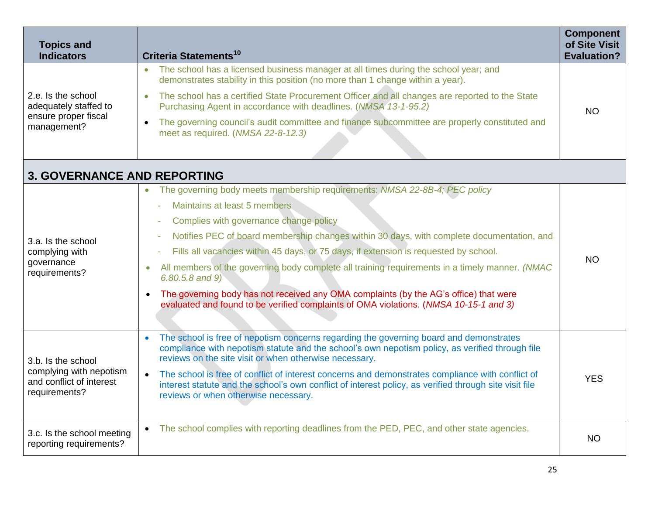| <b>Topics and</b><br><b>Indicators</b>                                                     | Criteria Statements <sup>10</sup>                                                                                                                                                                                                                               | <b>Component</b><br>of Site Visit<br><b>Evaluation?</b> |
|--------------------------------------------------------------------------------------------|-----------------------------------------------------------------------------------------------------------------------------------------------------------------------------------------------------------------------------------------------------------------|---------------------------------------------------------|
| 2.e. Is the school<br>adequately staffed to                                                | The school has a licensed business manager at all times during the school year; and<br>$\bullet$<br>demonstrates stability in this position (no more than 1 change within a year).                                                                              |                                                         |
|                                                                                            | The school has a certified State Procurement Officer and all changes are reported to the State<br>Purchasing Agent in accordance with deadlines. (NMSA 13-1-95.2)                                                                                               | <b>NO</b>                                               |
| ensure proper fiscal<br>management?                                                        | The governing council's audit committee and finance subcommittee are properly constituted and<br>meet as required. (NMSA 22-8-12.3)                                                                                                                             |                                                         |
|                                                                                            |                                                                                                                                                                                                                                                                 |                                                         |
| <b>3. GOVERNANCE AND REPORTING</b>                                                         |                                                                                                                                                                                                                                                                 |                                                         |
|                                                                                            | The governing body meets membership requirements: NMSA 22-8B-4; PEC policy<br>$\bullet$                                                                                                                                                                         |                                                         |
|                                                                                            | Maintains at least 5 members                                                                                                                                                                                                                                    |                                                         |
|                                                                                            | Complies with governance change policy                                                                                                                                                                                                                          |                                                         |
| 3.a. Is the school                                                                         | Notifies PEC of board membership changes within 30 days, with complete documentation, and                                                                                                                                                                       | <b>NO</b>                                               |
| complying with                                                                             | Fills all vacancies within 45 days, or 75 days, if extension is requested by school.                                                                                                                                                                            |                                                         |
| governance<br>requirements?                                                                | All members of the governing body complete all training requirements in a timely manner. (NMAC<br>$\bullet$<br>$6.80.5.8$ and $9)$                                                                                                                              |                                                         |
|                                                                                            | The governing body has not received any OMA complaints (by the AG's office) that were<br>$\bullet$<br>evaluated and found to be verified complaints of OMA violations. (NMSA 10-15-1 and 3)                                                                     |                                                         |
| 3.b. Is the school<br>complying with nepotism<br>and conflict of interest<br>requirements? | The school is free of nepotism concerns regarding the governing board and demonstrates<br>compliance with nepotism statute and the school's own nepotism policy, as verified through file<br>reviews on the site visit or when otherwise necessary.             |                                                         |
|                                                                                            | The school is free of conflict of interest concerns and demonstrates compliance with conflict of<br>$\bullet$<br>interest statute and the school's own conflict of interest policy, as verified through site visit file<br>reviews or when otherwise necessary. | <b>YES</b>                                              |
| 3.c. Is the school meeting<br>reporting requirements?                                      | The school complies with reporting deadlines from the PED, PEC, and other state agencies.<br>$\bullet$                                                                                                                                                          | <b>NO</b>                                               |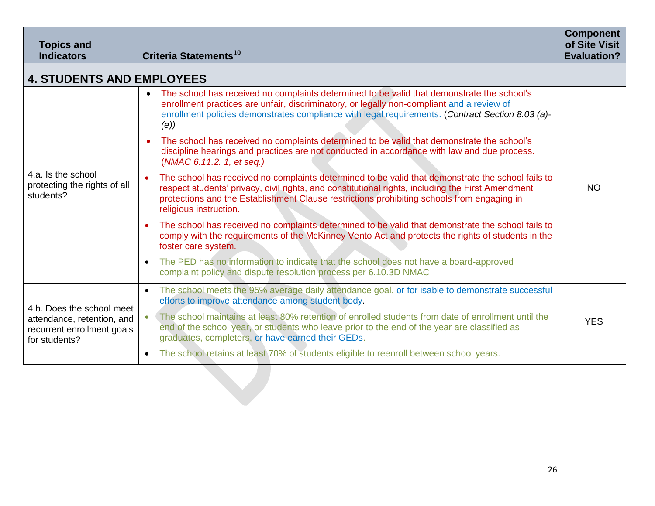| <b>Topics and</b><br><b>Indicators</b>                                                                 | <b>Criteria Statements<sup>10</sup></b>                                                                                                                                                                                                                                                                                                     | <b>Component</b><br>of Site Visit<br><b>Evaluation?</b> |
|--------------------------------------------------------------------------------------------------------|---------------------------------------------------------------------------------------------------------------------------------------------------------------------------------------------------------------------------------------------------------------------------------------------------------------------------------------------|---------------------------------------------------------|
| <b>4. STUDENTS AND EMPLOYEES</b>                                                                       |                                                                                                                                                                                                                                                                                                                                             |                                                         |
| 4.a. Is the school<br>protecting the rights of all<br>students?                                        | The school has received no complaints determined to be valid that demonstrate the school's<br>enrollment practices are unfair, discriminatory, or legally non-compliant and a review of<br>enrollment policies demonstrates compliance with legal requirements. (Contract Section 8.03 (a)-<br>(e)                                          |                                                         |
|                                                                                                        | The school has received no complaints determined to be valid that demonstrate the school's<br>$\bullet$<br>discipline hearings and practices are not conducted in accordance with law and due process.<br>(NMAC 6.11.2. 1, et seq.)                                                                                                         |                                                         |
|                                                                                                        | The school has received no complaints determined to be valid that demonstrate the school fails to<br>$\bullet$<br>respect students' privacy, civil rights, and constitutional rights, including the First Amendment<br>protections and the Establishment Clause restrictions prohibiting schools from engaging in<br>religious instruction. | <b>NO</b>                                               |
|                                                                                                        | The school has received no complaints determined to be valid that demonstrate the school fails to<br>comply with the requirements of the McKinney Vento Act and protects the rights of students in the<br>foster care system.                                                                                                               |                                                         |
|                                                                                                        | The PED has no information to indicate that the school does not have a board-approved<br>$\bullet$<br>complaint policy and dispute resolution process per 6.10.3D NMAC                                                                                                                                                                      |                                                         |
| 4.b. Does the school meet<br>attendance, retention, and<br>recurrent enrollment goals<br>for students? | The school meets the 95% average daily attendance goal, or for isable to demonstrate successful<br>$\bullet$<br>efforts to improve attendance among student body.                                                                                                                                                                           |                                                         |
|                                                                                                        | The school maintains at least 80% retention of enrolled students from date of enrollment until the<br>end of the school year, or students who leave prior to the end of the year are classified as<br>graduates, completers, or have earned their GEDs.                                                                                     | <b>YES</b>                                              |
|                                                                                                        | The school retains at least 70% of students eligible to reenroll between school years.<br>$\bullet$                                                                                                                                                                                                                                         |                                                         |
|                                                                                                        |                                                                                                                                                                                                                                                                                                                                             |                                                         |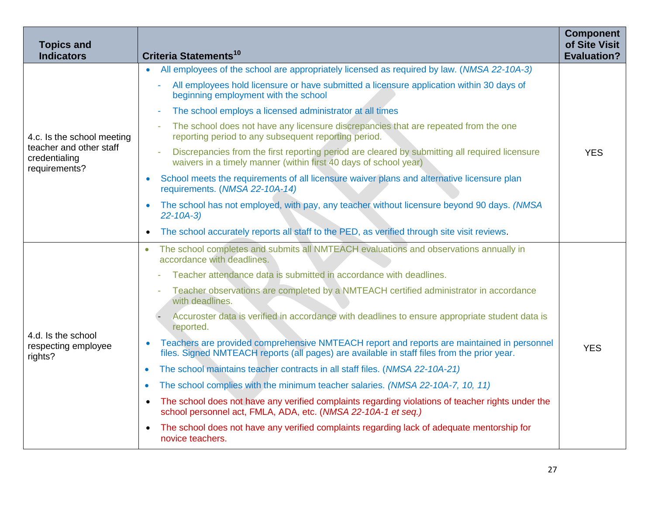| <b>Topics and</b><br><b>Indicators</b>                    | Criteria Statements <sup>10</sup>                                                                                                                                                         | <b>Component</b><br>of Site Visit<br><b>Evaluation?</b> |
|-----------------------------------------------------------|-------------------------------------------------------------------------------------------------------------------------------------------------------------------------------------------|---------------------------------------------------------|
| 4.c. Is the school meeting                                | All employees of the school are appropriately licensed as required by law. (NMSA 22-10A-3)<br>$\bullet$                                                                                   |                                                         |
|                                                           | All employees hold licensure or have submitted a licensure application within 30 days of<br>beginning employment with the school                                                          |                                                         |
|                                                           | The school employs a licensed administrator at all times<br>÷                                                                                                                             |                                                         |
|                                                           | The school does not have any licensure discrepancies that are repeated from the one<br>reporting period to any subsequent reporting period.                                               |                                                         |
| teacher and other staff<br>credentialing<br>requirements? | Discrepancies from the first reporting period are cleared by submitting all required licensure<br>waivers in a timely manner (within first 40 days of school year)                        | <b>YES</b>                                              |
|                                                           | School meets the requirements of all licensure waiver plans and alternative licensure plan<br>requirements. (NMSA 22-10A-14)                                                              |                                                         |
|                                                           | The school has not employed, with pay, any teacher without licensure beyond 90 days. (NMSA<br>$\bullet$<br>$22 - 10A - 3$                                                                 |                                                         |
|                                                           | The school accurately reports all staff to the PED, as verified through site visit reviews.<br>$\bullet$                                                                                  |                                                         |
|                                                           | The school completes and submits all NMTEACH evaluations and observations annually in<br>$\bullet$<br>accordance with deadlines.                                                          |                                                         |
|                                                           | Teacher attendance data is submitted in accordance with deadlines.                                                                                                                        |                                                         |
|                                                           | Teacher observations are completed by a NMTEACH certified administrator in accordance<br>with deadlines.                                                                                  |                                                         |
|                                                           | Accuroster data is verified in accordance with deadlines to ensure appropriate student data is<br>reported.                                                                               |                                                         |
| 4.d. Is the school<br>respecting employee<br>rights?      | Teachers are provided comprehensive NMTEACH report and reports are maintained in personnel<br>files. Signed NMTEACH reports (all pages) are available in staff files from the prior year. | <b>YES</b>                                              |
|                                                           | The school maintains teacher contracts in all staff files. (NMSA 22-10A-21)<br>$\bullet$                                                                                                  |                                                         |
|                                                           | The school complies with the minimum teacher salaries. (NMSA 22-10A-7, 10, 11)<br>$\bullet$                                                                                               |                                                         |
|                                                           | The school does not have any verified complaints regarding violations of teacher rights under the<br>$\bullet$<br>school personnel act, FMLA, ADA, etc. (NMSA 22-10A-1 et seq.)           |                                                         |
|                                                           | The school does not have any verified complaints regarding lack of adequate mentorship for<br>$\bullet$<br>novice teachers.                                                               |                                                         |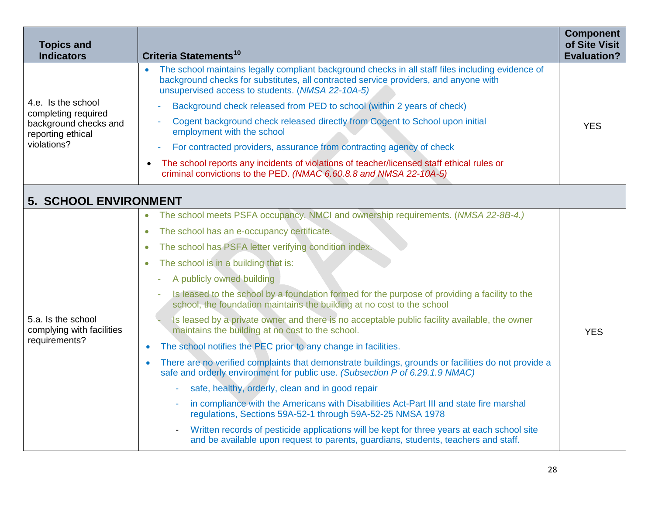| <b>Topics and</b><br><b>Indicators</b>                           | <b>Criteria Statements<sup>10</sup></b>                                                                                                                                                                                                       | <b>Component</b><br>of Site Visit<br><b>Evaluation?</b> |
|------------------------------------------------------------------|-----------------------------------------------------------------------------------------------------------------------------------------------------------------------------------------------------------------------------------------------|---------------------------------------------------------|
|                                                                  | The school maintains legally compliant background checks in all staff files including evidence of<br>background checks for substitutes, all contracted service providers, and anyone with<br>unsupervised access to students. (NMSA 22-10A-5) |                                                         |
| 4.e. Is the school<br>completing required                        | Background check released from PED to school (within 2 years of check)                                                                                                                                                                        |                                                         |
| background checks and<br>reporting ethical                       | Cogent background check released directly from Cogent to School upon initial<br>employment with the school                                                                                                                                    | <b>YES</b>                                              |
| violations?                                                      | For contracted providers, assurance from contracting agency of check                                                                                                                                                                          |                                                         |
|                                                                  | The school reports any incidents of violations of teacher/licensed staff ethical rules or<br>criminal convictions to the PED. (NMAC 6.60.8.8 and NMSA 22-10A-5)                                                                               |                                                         |
| <b>5. SCHOOL ENVIRONMENT</b>                                     |                                                                                                                                                                                                                                               |                                                         |
|                                                                  | The school meets PSFA occupancy, NMCI and ownership requirements. (NMSA 22-8B-4.)<br>$\bullet$                                                                                                                                                |                                                         |
|                                                                  | The school has an e-occupancy certificate.<br>$\bullet$                                                                                                                                                                                       |                                                         |
|                                                                  | The school has PSFA letter verifying condition index.<br>$\bullet$                                                                                                                                                                            |                                                         |
|                                                                  | The school is in a building that is:<br>$\bullet$                                                                                                                                                                                             |                                                         |
|                                                                  | A publicly owned building                                                                                                                                                                                                                     |                                                         |
|                                                                  | Is leased to the school by a foundation formed for the purpose of providing a facility to the<br>school, the foundation maintains the building at no cost to the school                                                                       |                                                         |
| 5.a. Is the school<br>complying with facilities<br>requirements? | Is leased by a private owner and there is no acceptable public facility available, the owner<br>maintains the building at no cost to the school.                                                                                              | <b>YES</b>                                              |
|                                                                  | The school notifies the PEC prior to any change in facilities.<br>$\bullet$                                                                                                                                                                   |                                                         |
|                                                                  | There are no verified complaints that demonstrate buildings, grounds or facilities do not provide a<br>$\bullet$<br>safe and orderly environment for public use. (Subsection P of 6.29.1.9 NMAC)                                              |                                                         |
|                                                                  | safe, healthy, orderly, clean and in good repair                                                                                                                                                                                              |                                                         |
|                                                                  | in compliance with the Americans with Disabilities Act-Part III and state fire marshal<br>٠<br>regulations, Sections 59A-52-1 through 59A-52-25 NMSA 1978                                                                                     |                                                         |
|                                                                  | Written records of pesticide applications will be kept for three years at each school site<br>and be available upon request to parents, guardians, students, teachers and staff.                                                              |                                                         |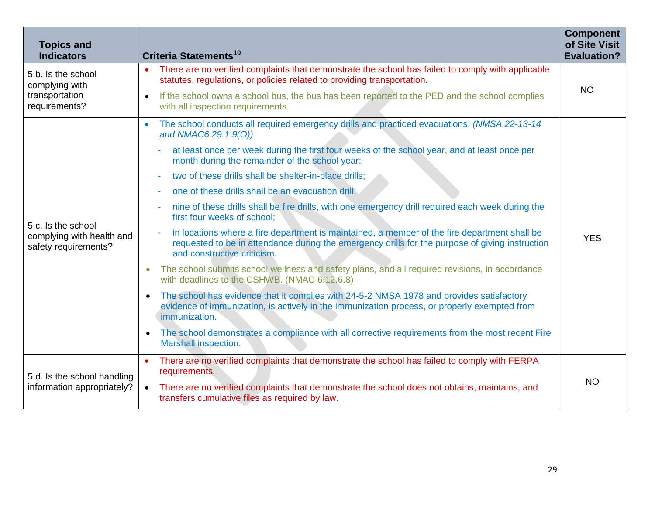| <b>Topics and</b><br><b>Indicators</b>                                  | <b>Criteria Statements<sup>10</sup></b>                                                                                                                                                                                        | <b>Component</b><br>of Site Visit<br><b>Evaluation?</b> |
|-------------------------------------------------------------------------|--------------------------------------------------------------------------------------------------------------------------------------------------------------------------------------------------------------------------------|---------------------------------------------------------|
| 5.b. Is the school<br>complying with<br>transportation<br>requirements? | There are no verified complaints that demonstrate the school has failed to comply with applicable<br>$\bullet$<br>statutes, regulations, or policies related to providing transportation.                                      |                                                         |
|                                                                         | If the school owns a school bus, the bus has been reported to the PED and the school complies<br>$\bullet$<br>with all inspection requirements.                                                                                | <b>NO</b>                                               |
|                                                                         | The school conducts all required emergency drills and practiced evacuations. (NMSA 22-13-14<br>$\bullet$<br>and NMAC6.29.1.9(O))                                                                                               |                                                         |
|                                                                         | at least once per week during the first four weeks of the school year, and at least once per<br>month during the remainder of the school year;                                                                                 |                                                         |
|                                                                         | two of these drills shall be shelter-in-place drills;                                                                                                                                                                          |                                                         |
|                                                                         | one of these drills shall be an evacuation drill;                                                                                                                                                                              |                                                         |
|                                                                         | nine of these drills shall be fire drills, with one emergency drill required each week during the<br>first four weeks of school;                                                                                               |                                                         |
| 5.c. Is the school<br>complying with health and<br>safety requirements? | in locations where a fire department is maintained, a member of the fire department shall be<br>requested to be in attendance during the emergency drills for the purpose of giving instruction<br>and constructive criticism. | <b>YES</b>                                              |
|                                                                         | The school submits school wellness and safety plans, and all required revisions, in accordance<br>$\bullet$<br>with deadlines to the CSHWB. (NMAC 6.12.6.8)                                                                    |                                                         |
|                                                                         | The school has evidence that it complies with 24-5-2 NMSA 1978 and provides satisfactory<br>$\bullet$<br>evidence of immunization, is actively in the immunization process, or properly exempted from<br>immunization.         |                                                         |
|                                                                         | The school demonstrates a compliance with all corrective requirements from the most recent Fire<br>$\bullet$<br>Marshall inspection.                                                                                           |                                                         |
| 5.d. Is the school handling<br>information appropriately?               | There are no verified complaints that demonstrate the school has failed to comply with FERPA<br>$\bullet$<br>requirements.                                                                                                     |                                                         |
|                                                                         | There are no verified complaints that demonstrate the school does not obtains, maintains, and<br>$\bullet$<br>transfers cumulative files as required by law.                                                                   | <b>NO</b>                                               |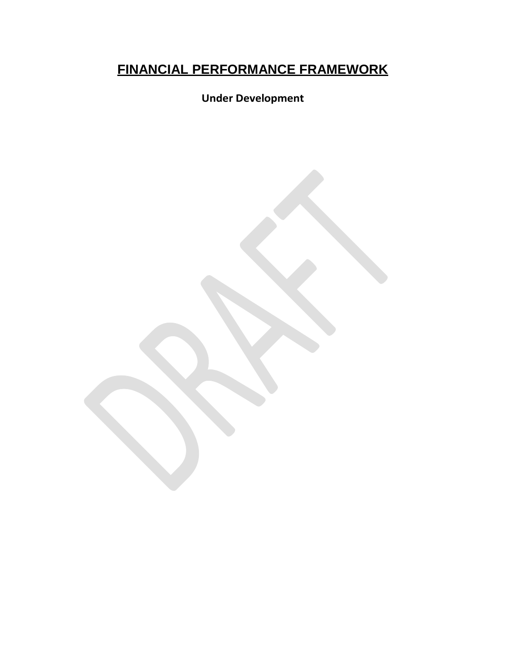# **FINANCIAL PERFORMANCE FRAMEWORK**

**Under Development**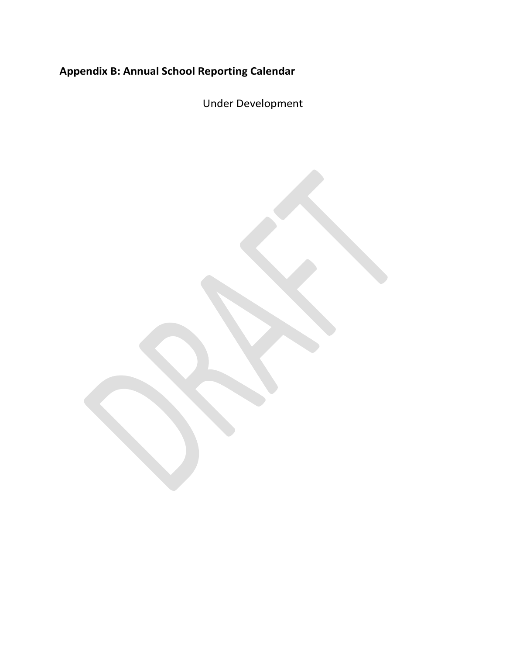# <span id="page-30-0"></span>**Appendix B: Annual School Reporting Calendar**

Under Development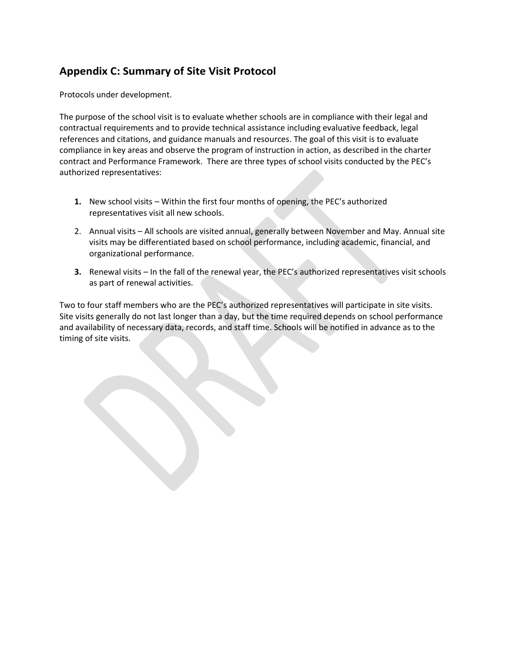# <span id="page-31-0"></span>**Appendix C: Summary of Site Visit Protocol**

Protocols under development.

The purpose of the school visit is to evaluate whether schools are in compliance with their legal and contractual requirements and to provide technical assistance including evaluative feedback, legal references and citations, and guidance manuals and resources. The goal of this visit is to evaluate compliance in key areas and observe the program of instruction in action, as described in the charter contract and Performance Framework. There are three types of school visits conducted by the PEC's authorized representatives:

- **1.** New school visits Within the first four months of opening, the PEC's authorized representatives visit all new schools.
- 2. Annual visits All schools are visited annual, generally between November and May. Annual site visits may be differentiated based on school performance, including academic, financial, and organizational performance.
- **3.** Renewal visits In the fall of the renewal year, the PEC's authorized representatives visit schools as part of renewal activities.

Two to four staff members who are the PEC's authorized representatives will participate in site visits. Site visits generally do not last longer than a day, but the time required depends on school performance and availability of necessary data, records, and staff time. Schools will be notified in advance as to the timing of site visits.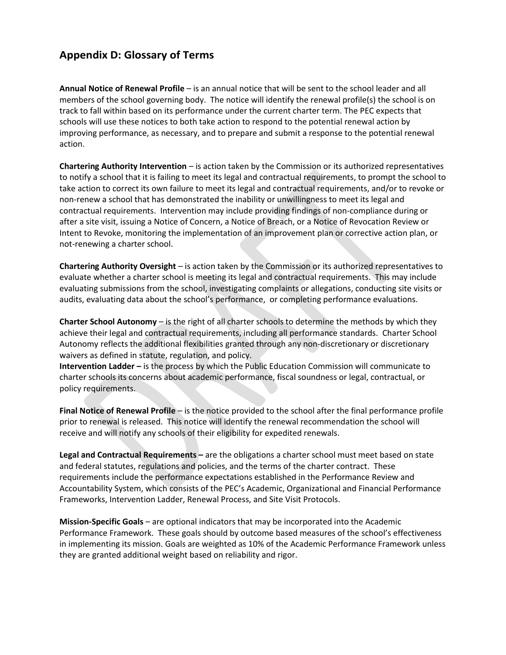# **Appendix D: Glossary of Terms**

**Annual Notice of Renewal Profile** – is an annual notice that will be sent to the school leader and all members of the school governing body. The notice will identify the renewal profile(s) the school is on track to fall within based on its performance under the current charter term. The PEC expects that schools will use these notices to both take action to respond to the potential renewal action by improving performance, as necessary, and to prepare and submit a response to the potential renewal action.

**Chartering Authority Intervention** – is action taken by the Commission or its authorized representatives to notify a school that it is failing to meet its legal and contractual requirements, to prompt the school to take action to correct its own failure to meet its legal and contractual requirements, and/or to revoke or non-renew a school that has demonstrated the inability or unwillingness to meet its legal and contractual requirements. Intervention may include providing findings of non-compliance during or after a site visit, issuing a Notice of Concern, a Notice of Breach, or a Notice of Revocation Review or Intent to Revoke, monitoring the implementation of an improvement plan or corrective action plan, or not-renewing a charter school.

**Chartering Authority Oversight** – is action taken by the Commission or its authorized representatives to evaluate whether a charter school is meeting its legal and contractual requirements. This may include evaluating submissions from the school, investigating complaints or allegations, conducting site visits or audits, evaluating data about the school's performance, or completing performance evaluations.

**Charter School Autonomy** – is the right of all charter schools to determine the methods by which they achieve their legal and contractual requirements, including all performance standards. Charter School Autonomy reflects the additional flexibilities granted through any non-discretionary or discretionary waivers as defined in statute, regulation, and policy.

**Intervention Ladder –** is the process by which the Public Education Commission will communicate to charter schools its concerns about academic performance, fiscal soundness or legal, contractual, or policy requirements.

**Final Notice of Renewal Profile** – is the notice provided to the school after the final performance profile prior to renewal is released. This notice will identify the renewal recommendation the school will receive and will notify any schools of their eligibility for expedited renewals.

**Legal and Contractual Requirements –** are the obligations a charter school must meet based on state and federal statutes, regulations and policies, and the terms of the charter contract. These requirements include the performance expectations established in the Performance Review and Accountability System, which consists of the PEC's Academic, Organizational and Financial Performance Frameworks, Intervention Ladder, Renewal Process, and Site Visit Protocols.

**Mission-Specific Goals** – are optional indicators that may be incorporated into the Academic Performance Framework. These goals should by outcome based measures of the school's effectiveness in implementing its mission. Goals are weighted as 10% of the Academic Performance Framework unless they are granted additional weight based on reliability and rigor.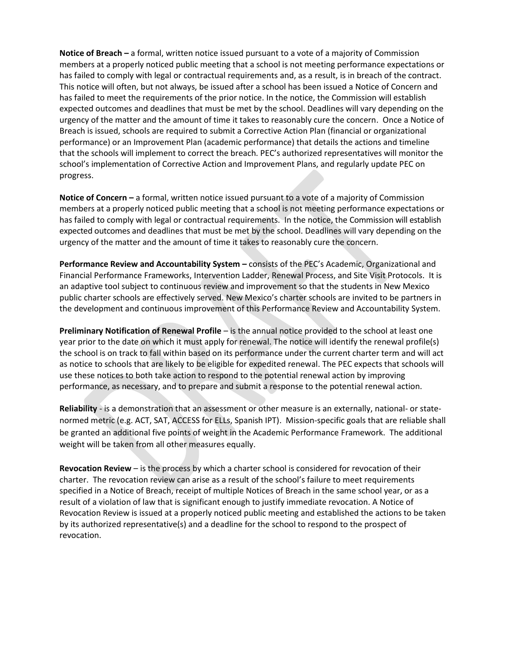**Notice of Breach –** a formal, written notice issued pursuant to a vote of a majority of Commission members at a properly noticed public meeting that a school is not meeting performance expectations or has failed to comply with legal or contractual requirements and, as a result, is in breach of the contract. This notice will often, but not always, be issued after a school has been issued a Notice of Concern and has failed to meet the requirements of the prior notice. In the notice, the Commission will establish expected outcomes and deadlines that must be met by the school. Deadlines will vary depending on the urgency of the matter and the amount of time it takes to reasonably cure the concern. Once a Notice of Breach is issued, schools are required to submit a Corrective Action Plan (financial or organizational performance) or an Improvement Plan (academic performance) that details the actions and timeline that the schools will implement to correct the breach. PEC's authorized representatives will monitor the school's implementation of Corrective Action and Improvement Plans, and regularly update PEC on progress.

**Notice of Concern –** a formal, written notice issued pursuant to a vote of a majority of Commission members at a properly noticed public meeting that a school is not meeting performance expectations or has failed to comply with legal or contractual requirements. In the notice, the Commission will establish expected outcomes and deadlines that must be met by the school. Deadlines will vary depending on the urgency of the matter and the amount of time it takes to reasonably cure the concern.

**Performance Review and Accountability System –** consists of the PEC's Academic, Organizational and Financial Performance Frameworks, Intervention Ladder, Renewal Process, and Site Visit Protocols. It is an adaptive tool subject to continuous review and improvement so that the students in New Mexico public charter schools are effectively served. New Mexico's charter schools are invited to be partners in the development and continuous improvement of this Performance Review and Accountability System.

**Preliminary Notification of Renewal Profile** – is the annual notice provided to the school at least one year prior to the date on which it must apply for renewal. The notice will identify the renewal profile(s) the school is on track to fall within based on its performance under the current charter term and will act as notice to schools that are likely to be eligible for expedited renewal. The PEC expects that schools will use these notices to both take action to respond to the potential renewal action by improving performance, as necessary, and to prepare and submit a response to the potential renewal action.

**Reliability** - is a demonstration that an assessment or other measure is an externally, national- or statenormed metric (e.g. ACT, SAT, ACCESS for ELLs, Spanish IPT). Mission-specific goals that are reliable shall be granted an additional five points of weight in the Academic Performance Framework. The additional weight will be taken from all other measures equally.

**Revocation Review** – is the process by which a charter school is considered for revocation of their charter. The revocation review can arise as a result of the school's failure to meet requirements specified in a Notice of Breach, receipt of multiple Notices of Breach in the same school year, or as a result of a violation of law that is significant enough to justify immediate revocation. A Notice of Revocation Review is issued at a properly noticed public meeting and established the actions to be taken by its authorized representative(s) and a deadline for the school to respond to the prospect of revocation.